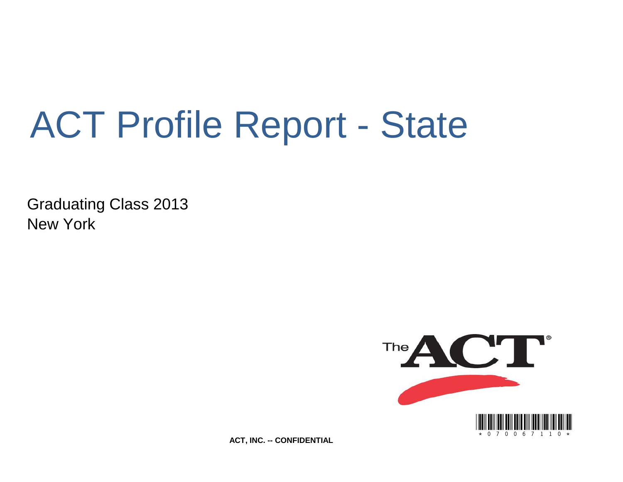# ACT Profile Report - State

Graduating Class 2013 New York



**ACT, INC. -- CONFIDENTIAL**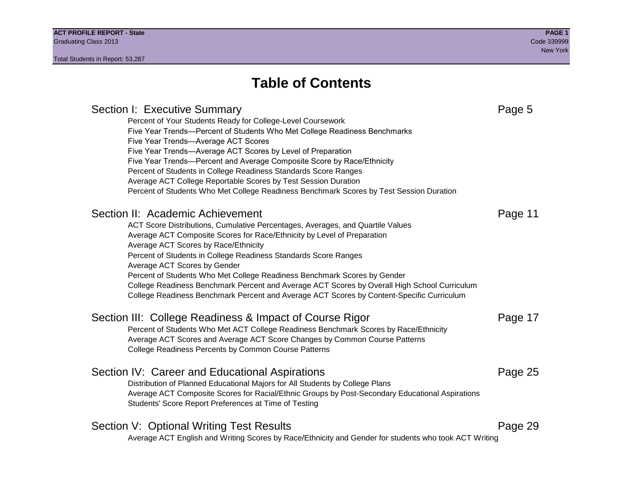# **Table of Contents**

### Section I: Executive Summary **Page 5** and the section I: Executive Summary Percent of Your Students Ready for College-Level Coursework Five Year Trends—Percent of Students Who Met College Readiness Benchmarks Five Year Trends—Average ACT Scores Five Year Trends—Average ACT Scores by Level of Preparation Five Year Trends—Percent and Average Composite Score by Race/Ethnicity Percent of Students in College Readiness Standards Score Ranges Average ACT College Reportable Scores by Test Session Duration Percent of Students Who Met College Readiness Benchmark Scores by Test Session Duration Section II: Academic Achievement **Page 11** Page 11 ACT Score Distributions, Cumulative Percentages, Averages, and Quartile Values Average ACT Composite Scores for Race/Ethnicity by Level of Preparation Average ACT Scores by Race/Ethnicity Percent of Students in College Readiness Standards Score Ranges Average ACT Scores by Gender Percent of Students Who Met College Readiness Benchmark Scores by Gender College Readiness Benchmark Percent and Average ACT Scores by Overall High School Curriculum College Readiness Benchmark Percent and Average ACT Scores by Content-Specific Curriculum Section III: College Readiness & Impact of Course Rigor Page 17 Percent of Students Who Met ACT College Readiness Benchmark Scores by Race/Ethnicity Average ACT Scores and Average ACT Score Changes by Common Course Patterns College Readiness Percents by Common Course Patterns Section IV: Career and Educational Aspirations **Page 25** Page 25 Distribution of Planned Educational Majors for All Students by College Plans Average ACT Composite Scores for Racial/Ethnic Groups by Post-Secondary Educational Aspirations Students' Score Report Preferences at Time of Testing Section V: Optional Writing Test Results **Page 29** Page 29 Average ACT English and Writing Scores by Race/Ethnicity and Gender for students who took ACT Writing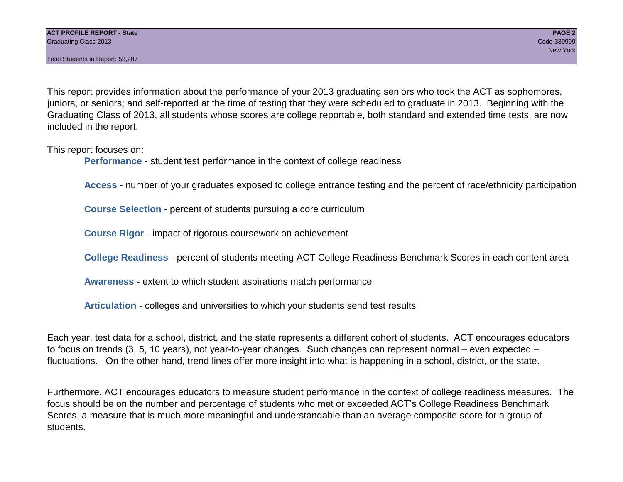This report provides information about the performance of your 2013 graduating seniors who took the ACT as sophomores, juniors, or seniors; and self-reported at the time of testing that they were scheduled to graduate in 2013. Beginning with the Graduating Class of 2013, all students whose scores are college reportable, both standard and extended time tests, are now included in the report.

This report focuses on:

**Performance** - student test performance in the context of college readiness

**Access** - number of your graduates exposed to college entrance testing and the percent of race/ethnicity participation

**Course Selection** - percent of students pursuing a core curriculum

**Course Rigor** - impact of rigorous coursework on achievement

**College Readiness** - percent of students meeting ACT College Readiness Benchmark Scores in each content area

**Awareness** - extent to which student aspirations match performance

**Articulation** - colleges and universities to which your students send test results

Each year, test data for a school, district, and the state represents a different cohort of students. ACT encourages educators to focus on trends (3, 5, 10 years), not year-to-year changes. Such changes can represent normal – even expected – fluctuations. On the other hand, trend lines offer more insight into what is happening in a school, district, or the state.

Furthermore, ACT encourages educators to measure student performance in the context of college readiness measures. The focus should be on the number and percentage of students who met or exceeded ACT's College Readiness Benchmark Scores, a measure that is much more meaningful and understandable than an average composite score for a group of students.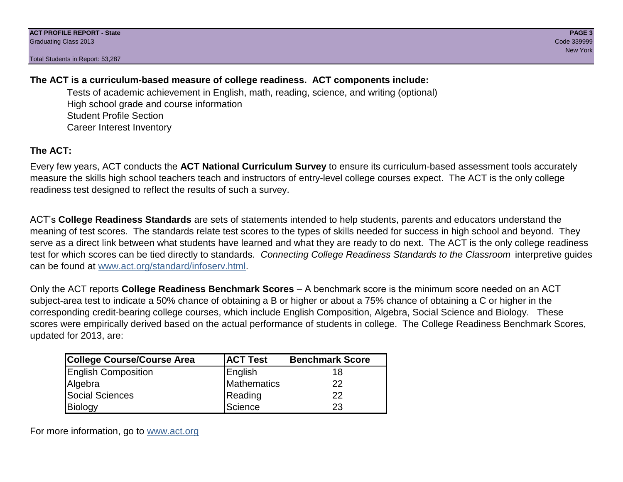### **The ACT is a curriculum-based measure of college readiness. ACT components include:**

Tests of academic achievement in English, math, reading, science, and writing (optional) High school grade and course information Student Profile Section Career Interest Inventory

### **The ACT:**

Every few years, ACT conducts the **ACT National Curriculum Survey** to ensure its curriculum-based assessment tools accurately measure the skills high school teachers teach and instructors of entry-level college courses expect. The ACT is the only college readiness test designed to reflect the results of such a survey.

ACT's **College Readiness Standards** are sets of statements intended to help students, parents and educators understand the meaning of test scores. The standards relate test scores to the types of skills needed for success in high school and beyond. They serve as a direct link between what students have learned and what they are ready to do next. The ACT is the only college readiness test for which scores can be tied directly to standards. *Connecting College Readiness Standards to the Classroom* interpretive guides can be found at www.act.org/standard/infoserv.html.

Only the ACT reports **College Readiness Benchmark Scores** – A benchmark score is the minimum score needed on an ACT subject-area test to indicate a 50% chance of obtaining a B or higher or about a 75% chance of obtaining a C or higher in the corresponding credit-bearing college courses, which include English Composition, Algebra, Social Science and Biology. These scores were empirically derived based on the actual performance of students in college. The College Readiness Benchmark Scores, updated for 2013, are:

| <b>College Course/Course Area</b> | <b>ACT Test</b> | Benchmark Score |
|-----------------------------------|-----------------|-----------------|
| <b>English Composition</b>        | English         | 18              |
| Algebra                           | Mathematics     | 22              |
| <b>Social Sciences</b>            | Reading         | 22              |
| Biology                           | Science         | 23              |

For more information, go to www.act.org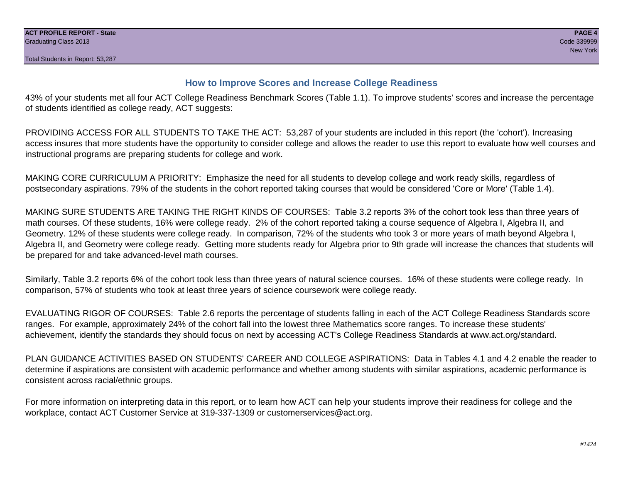#### **How to Improve Scores and Increase College Readiness**

43% of your students met all four ACT College Readiness Benchmark Scores (Table 1.1). To improve students' scores and increase the percentage of students identified as college ready, ACT suggests:

PROVIDING ACCESS FOR ALL STUDENTS TO TAKE THE ACT: 53,287 of your students are included in this report (the 'cohort'). Increasing access insures that more students have the opportunity to consider college and allows the reader to use this report to evaluate how well courses and instructional programs are preparing students for college and work.

MAKING CORE CURRICULUM A PRIORITY: Emphasize the need for all students to develop college and work ready skills, regardless of postsecondary aspirations. 79% of the students in the cohort reported taking courses that would be considered 'Core or More' (Table 1.4).

MAKING SURE STUDENTS ARE TAKING THE RIGHT KINDS OF COURSES: Table 3.2 reports 3% of the cohort took less than three years of math courses. Of these students, 16% were college ready. 2% of the cohort reported taking a course sequence of Algebra I, Algebra II, and Geometry. 12% of these students were college ready. In comparison, 72% of the students who took 3 or more years of math beyond Algebra I, Algebra II, and Geometry were college ready. Getting more students ready for Algebra prior to 9th grade will increase the chances that students will be prepared for and take advanced-level math courses.

Similarly, Table 3.2 reports 6% of the cohort took less than three years of natural science courses. 16% of these students were college ready. In comparison, 57% of students who took at least three years of science coursework were college ready.

EVALUATING RIGOR OF COURSES: Table 2.6 reports the percentage of students falling in each of the ACT College Readiness Standards score ranges. For example, approximately 24% of the cohort fall into the lowest three Mathematics score ranges. To increase these students' achievement, identify the standards they should focus on next by accessing ACT's College Readiness Standards at www.act.org/standard.

PLAN GUIDANCE ACTIVITIES BASED ON STUDENTS' CAREER AND COLLEGE ASPIRATIONS: Data in Tables 4.1 and 4.2 enable the reader to determine if aspirations are consistent with academic performance and whether among students with similar aspirations, academic performance is consistent across racial/ethnic groups.

For more information on interpreting data in this report, or to learn how ACT can help your students improve their readiness for college and the workplace, contact ACT Customer Service at 319-337-1309 or customerservices@act.org.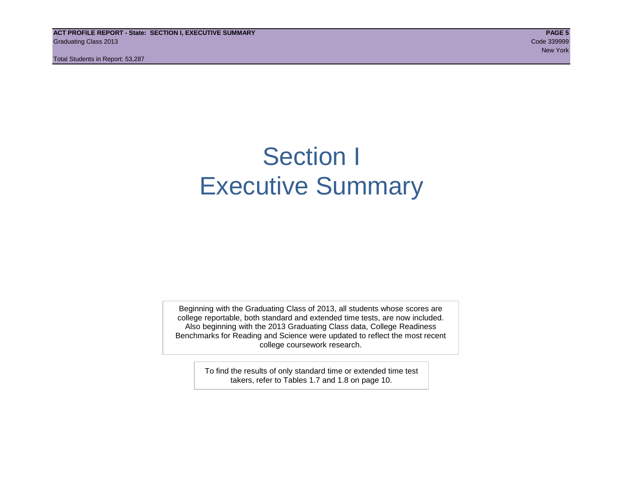**ACT PROFILE REPORT - State: SECTION I, EXECUTIVE SUMMARY PAGE 5** Graduating Class 2013 Code 339999

Total Students in Report: 53,287

New York and the state of the state of the state of the state of the state of the state of the New York (1990)

# Section I Executive Summary

Beginning with the Graduating Class of 2013, all students whose scores are college reportable, both standard and extended time tests, are now included. Also beginning with the 2013 Graduating Class data, College Readiness Benchmarks for Reading and Science were updated to reflect the most recent college coursework research.

> To find the results of only standard time or extended time test takers, refer to Tables 1.7 and 1.8 on page 10.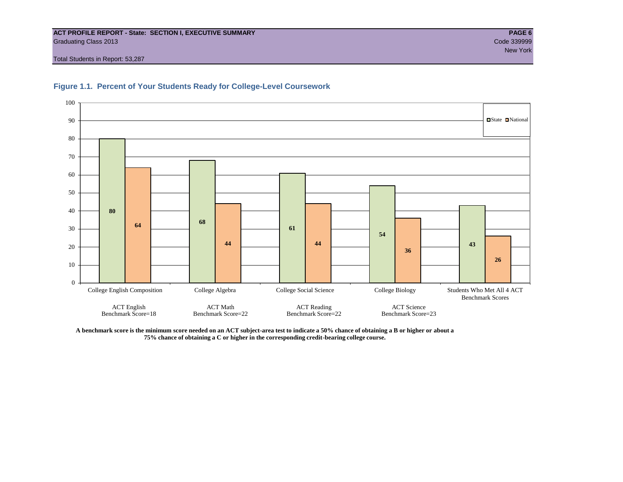#### **ACT PROFILE REPORT - State: SECTION I, EXECUTIVE SUMMARY PAGE 6** Graduating Class 2013 Code 339999

Total Students in Report: 53,287





**A benchmark score is the minimum score needed on an ACT subject-area test to indicate a 50% chance of obtaining a B or higher or about a 75% chance of obtaining a C or higher in the corresponding credit-bearing college course.**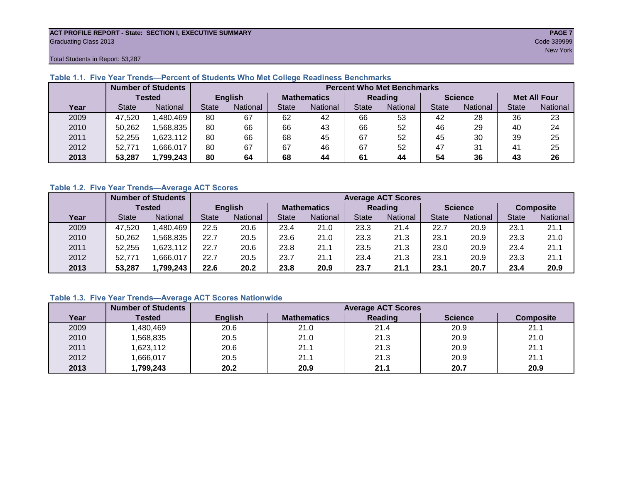#### **ACT PROFILE REPORT - State: SECTION I, EXECUTIVE SUMMARY PAGE 7** Graduating Class 2013 Code 339999

Total Students in Report: 53,287

|      |              | <b>Number of Students</b> |                | <b>Percent Who Met Benchmarks</b> |                    |          |              |          |                |          |                     |          |
|------|--------------|---------------------------|----------------|-----------------------------------|--------------------|----------|--------------|----------|----------------|----------|---------------------|----------|
|      |              | <b>Tested</b>             | <b>English</b> |                                   | <b>Mathematics</b> |          | Reading      |          | <b>Science</b> |          | <b>Met All Four</b> |          |
| Year | <b>State</b> | <b>National</b>           | <b>State</b>   | National                          | State              | National | <b>State</b> | National | <b>State</b>   | National | <b>State</b>        | National |
| 2009 | 47,520       | ,480,469                  | 80             | 67                                | 62                 | 42       | 66           | 53       | 42             | 28       | 36                  | 23       |
| 2010 | 50,262       | .568.835                  | 80             | 66                                | 66                 | 43       | 66           | 52       | 46             | 29       | 40                  | 24       |
| 2011 | 52,255       | ,623,112                  | 80             | 66                                | 68                 | 45       | 67           | 52       | 45             | 30       | 39                  | 25       |
| 2012 | 52,771       | .666,017                  | 80             | 67                                | 67                 | 46       | 67           | 52       | 47             | 31       | 41                  | 25       |
| 2013 | 53,287       | 1,799,243                 | 80             | 64                                | 68                 | 44       | 61           | 44       | 54             | 36       | 43                  | 26       |

#### **Table 1.1. Five Year Trends—Percent of Students Who Met College Readiness Benchmarks**

#### **Table 1.2. Five Year Trends—Average ACT Scores**

|      | <b>Number of Students</b> |                 |                |          | <b>Average ACT Scores</b> |                 |         |                 |                |          |                  |          |  |
|------|---------------------------|-----------------|----------------|----------|---------------------------|-----------------|---------|-----------------|----------------|----------|------------------|----------|--|
|      |                           | <b>Tested</b>   | <b>English</b> |          | <b>Mathematics</b>        |                 | Reading |                 | <b>Science</b> |          | <b>Composite</b> |          |  |
| Year | <b>State</b>              | <b>National</b> | <b>State</b>   | National | State                     | <b>National</b> | State   | <b>National</b> | <b>State</b>   | National | <b>State</b>     | National |  |
| 2009 | 47,520                    | .480,469        | 22.5           | 20.6     | 23.4                      | 21.0            | 23.3    | 21.4            | 22.7           | 20.9     | 23.1             | 21.1     |  |
| 2010 | 50,262                    | .568.835        | 22.7           | 20.5     | 23.6                      | 21.0            | 23.3    | 21.3            | 23.1           | 20.9     | 23.3             | 21.0     |  |
| 2011 | 52.255                    | .623,112        | 22.7           | 20.6     | 23.8                      | 21.1            | 23.5    | 21.3            | 23.0           | 20.9     | 23.4             | 21.1     |  |
| 2012 | 52,771                    | .666,017        | 22.7           | 20.5     | 23.7                      | 21.1            | 23.4    | 21.3            | 23.1           | 20.9     | 23.3             | 21.1     |  |
| 2013 | 53,287                    | ,799,243        | 22.6           | 20.2     | 23.8                      | 20.9            | 23.7    | 21.1            | 23.1           | 20.7     | 23.4             | 20.9     |  |

#### **Table 1.3. Five Year Trends—Average ACT Scores Nationwide**

|      | <b>Number of Students</b> | <b>Average ACT Scores</b> |                    |         |                |                  |  |  |  |  |
|------|---------------------------|---------------------------|--------------------|---------|----------------|------------------|--|--|--|--|
| Year | Tested                    | <b>English</b>            | <b>Mathematics</b> | Reading | <b>Science</b> | <b>Composite</b> |  |  |  |  |
| 2009 | ,480,469                  | 20.6                      | 21.0               | 21.4    | 20.9           | 21.1             |  |  |  |  |
| 2010 | ,568,835                  | 20.5                      | 21.0               | 21.3    | 20.9           | 21.0             |  |  |  |  |
| 2011 | ,623,112                  | 20.6                      | 21.1               | 21.3    | 20.9           | 21.1             |  |  |  |  |
| 2012 | ,666,017                  | 20.5                      | 21.1               | 21.3    | 20.9           | 21.1             |  |  |  |  |
| 2013 | ,799,243                  | 20.2                      | 20.9               | 21.1    | 20.7           | 20.9             |  |  |  |  |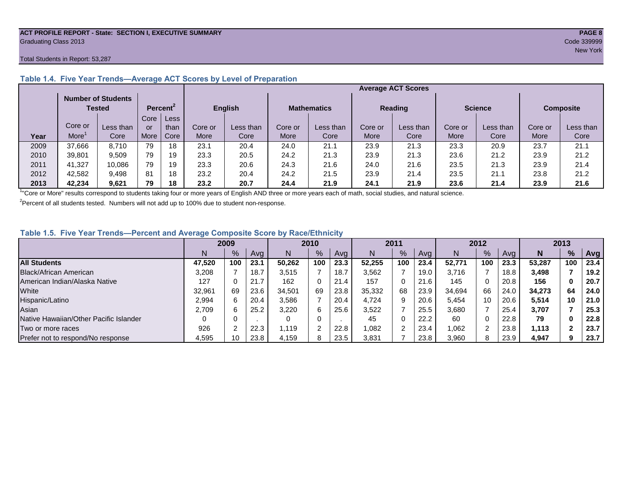#### **ACT PROFILE REPORT - State: SECTION I, EXECUTIVE SUMMARY PAGE 8** Graduating Class 2013 Code 339999

#### Total Students in Report: 53,287

|      |                                     |           |      |                      | <b>Average ACT Scores</b> |                                      |         |                |         |                |         |                  |         |           |  |
|------|-------------------------------------|-----------|------|----------------------|---------------------------|--------------------------------------|---------|----------------|---------|----------------|---------|------------------|---------|-----------|--|
|      | <b>Number of Students</b><br>Tested |           |      | Percent <sup>2</sup> |                           | <b>English</b><br><b>Mathematics</b> |         | <b>Reading</b> |         | <b>Science</b> |         | <b>Composite</b> |         |           |  |
|      |                                     |           | Core | <b>Less</b>          |                           |                                      |         |                |         |                |         |                  |         |           |  |
|      | Core or                             | Less than | or   | than                 | Core or                   | Less than                            | Core or | Less than      | Core or | Less than      | Core or | Less than        | Core or | Less than |  |
| Year | More                                | Core      | More | Core                 | More                      | Core                                 | More    | Core           | More    | Core           | More    | Core             | More    | Core      |  |
| 2009 | 37,666                              | 8.710     | 79   | 18                   | 23.1                      | 20.4                                 | 24.0    | 21.1           | 23.9    | 21.3           | 23.3    | 20.9             | 23.7    | 21.1      |  |
| 2010 | 39,801                              | 9.509     | 79   | 19                   | 23.3                      | 20.5                                 | 24.2    | 21.3           | 23.9    | 21.3           | 23.6    | 21.2             | 23.9    | 21.2      |  |
| 2011 | 41,327                              | 10,086    | 79   | 19                   | 23.3                      | 20.6                                 | 24.3    | 21.6           | 24.0    | 21.6           | 23.5    | 21.3             | 23.9    | 21.4      |  |
| 2012 | 42,582                              | 9,498     | 81   | 18                   | 23.2                      | 20.4                                 | 24.2    | 21.5           | 23.9    | 21.4           | 23.5    | 21.1             | 23.8    | 21.2      |  |
| 2013 | 42,234                              | 9,621     | 79   | 18                   | 23.2                      | 20.7                                 | 24.4    | 21.9           | 24.1    | 21.9           | 23.6    | 21.4             | 23.9    | 21.6      |  |

#### **Table 1.4. Five Year Trends—Average ACT Scores by Level of Preparation**

<sup>1</sup>"Core or More" results correspond to students taking four or more years of English AND three or more years each of math, social studies, and natural science.

 $2$ Percent of all students tested. Numbers will not add up to 100% due to student non-response.

#### **Table 1.5. Five Year Trends—Percent and Average Composite Score by Race/Ethnicity**

|                                        | 2009   |      |      | 2010   |               | 2011 |        | 2012 |      |        | 2013 |      |        |     |      |
|----------------------------------------|--------|------|------|--------|---------------|------|--------|------|------|--------|------|------|--------|-----|------|
|                                        | N.     | $\%$ | Avg  | N      | $\frac{9}{6}$ | Avg  | N      | %    | Avg  | N      | %    | Ava  | N      | %   | Avg  |
| <b>All Students</b>                    | 47.520 | 100  | 23.1 | 50.262 | 100           | 23.3 | 52.255 | 100  | 23.4 | 52.771 | 100  | 23.3 | 53.287 | 100 | 23.4 |
| <b>Black/African American</b>          | 3,208  |      | 18.7 | 3.515  |               | 18.7 | 3,562  |      | 19.0 | 3.716  |      | 18.8 | 3,498  |     | 19.2 |
| American Indian/Alaska Native          | 127    |      | 21.7 | 162    | 0             | 21.4 | 157    | 0    | 21.6 | 145    | 0    | 20.8 | 156    |     | 20.7 |
| White                                  | 32.961 | 69   | 23.6 | 34,501 | 69            | 23.8 | 35,332 | 68   | 23.9 | 34.694 | 66   | 24.0 | 34.273 | 64  | 24.0 |
| Hispanic/Latino                        | 2,994  |      | 20.4 | 3,586  |               | 20.4 | 4.724  | 9    | 20.6 | 5.454  | 10   | 20.6 | 5,514  | 10  | 21.0 |
| Asian                                  | 2,709  |      | 25.2 | 3.220  | 6             | 25.6 | 3.522  |      | 25.5 | 3,680  |      | 25.4 | 3.707  |     | 25.3 |
| Native Hawaiian/Other Pacific Islander |        |      |      |        | 0             |      | 45     | 0    | 22.2 | 60     | U    | 22.8 | 79     |     | 22.8 |
| Two or more races                      | 926    |      | 22.3 | 1.119  | $\sim$        | 22.8 | .082   | 2    | 23.4 | 1,062  | 2    | 23.8 | 1.113  |     | 23.7 |
| Prefer not to respond/No response      | 4,595  | 10   | 23.8 | 4,159  | 8             | 23.5 | 3,831  |      | 23.8 | 3,960  | 8    | 23.9 | 4,947  | Q   | 23.7 |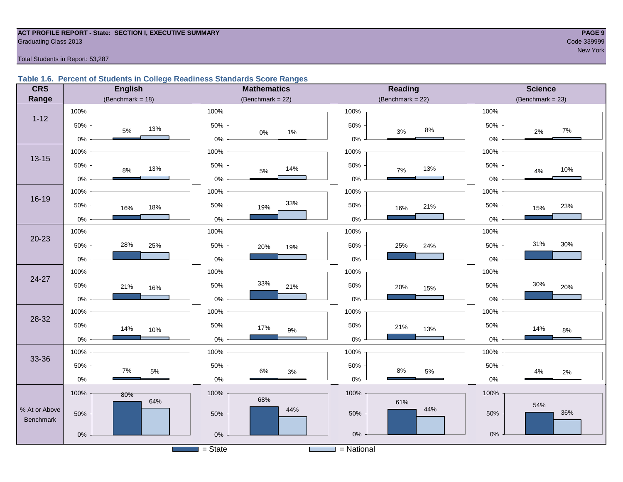## **ACT PROFILE REPORT - State: SECTION I, EXECUTIVE SUMMARY PAGE 9** Graduating Class 2013 Code 339999

New York and the state of the state of the state of the state of the state of the state of the New York and the

Total Students in Report: 53,287

#### **Table 1.6. Percent of Students in College Readiness Standards Score Ranges**

| <b>CRS</b>       | <b>English</b>      | <b>Mathematics</b>                    | <b>Reading</b>        | <b>Science</b>      |  |  |
|------------------|---------------------|---------------------------------------|-----------------------|---------------------|--|--|
| Range            | (Benchmark = $18$ ) | (Benchmark = $22$ )                   | (Benchmark = $22$ )   | (Benchmark = $23$ ) |  |  |
|                  | 100%                | 100%                                  | 100%                  | 100%                |  |  |
| $1 - 12$         | 50%<br>13%<br>5%    | 50%<br>$0\%$<br>$1\%$                 | 50%<br>$8\%$<br>3%    | 50%<br>$7\%$<br>2%  |  |  |
|                  | $0\%$               | $0\%$                                 | $0\%$                 | 0%                  |  |  |
| $13 - 15$        | 100%                | 100%                                  | 100%                  | 100%                |  |  |
|                  | 50%<br>13%<br>$8\%$ | 50%<br>14%<br>$5\%$                   | 50%<br>13%<br>7%      | 50%<br>10%<br>$4\%$ |  |  |
|                  | $0\%$               | $0\%$                                 | $0\%$                 | $0\%$               |  |  |
|                  | 100%                | 100%                                  | 100%                  | 100%                |  |  |
| $16 - 19$        | 50%<br>18%<br>16%   | 33%<br>50%<br>19%                     | 50%<br>21%<br>16%     | 50%<br>23%<br>15%   |  |  |
|                  | $0\%$               | $0\%$                                 | $0\%$                 | $0\%$               |  |  |
|                  | 100%                | 100%                                  | 100%                  | 100%                |  |  |
| $20 - 23$        | 28%<br>50%<br>25%   | 50%<br>20%<br>19%                     | 50%<br>25%<br>24%     | 31%<br>30%<br>50%   |  |  |
|                  | $0\%$               | $0\%$                                 | $0\%$                 | 0%                  |  |  |
|                  | 100%                | 100%                                  | 100%                  | 100%                |  |  |
| 24-27            | 50%<br>21%<br>16%   | 33%<br>50%<br>21%                     | 50%<br>20%<br>15%     | 30%<br>50%<br>20%   |  |  |
|                  | $0\%$               | $0\%$                                 | $0\%$                 | 0%                  |  |  |
| 28-32            | 100%                | 100%                                  | 100%                  | 100%                |  |  |
|                  | 50%<br>14%<br>10%   | 50%<br>17%<br>$9\%$                   | 50%<br>21%<br>13%     | 50%<br>14%<br>$8\%$ |  |  |
|                  | $0\%$               | $0\%$                                 | $0\%$                 | $0\%$               |  |  |
|                  | 100%                | 100%                                  | 100%                  | 100%                |  |  |
| 33-36            | 50%<br>7%<br>$5\%$  | 50%<br>$6\%$                          | 50%<br>$8\%$<br>$5\%$ | 50%<br>$4\%$        |  |  |
|                  | $0\%$               | 3%<br>$0\%$                           | $0\%$                 | 2%<br>$0\%$         |  |  |
|                  | 100%<br>80%         | 100%                                  | 100%                  | 100%                |  |  |
| % At or Above    | 64%                 | 68%<br>44%                            | 61%<br>44%            | 54%                 |  |  |
| <b>Benchmark</b> | 50%                 | 50%                                   | 50%                   | 36%<br>50%          |  |  |
|                  | $0\%$               | $0\%$                                 | $0\%$                 | $0\%$               |  |  |
|                  |                     | $=$ State<br><b>Contract Contract</b> | $=$ National          |                     |  |  |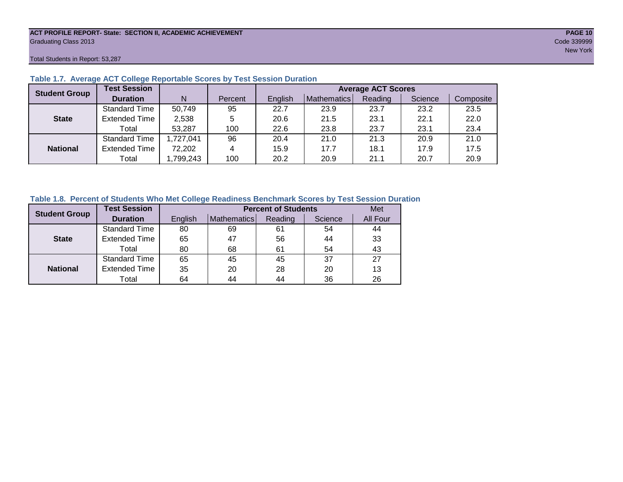#### **ACT PROFILE REPORT- State: SECTION II, ACADEMIC ACHIEVEMENT PAGE 10** Graduating Class 2013 Code 339999

Total Students in Report: 53,287

| <b>Student Group</b> | <b>Test Session</b>  |          |         | <b>Average ACT Scores</b> |             |         |         |           |  |  |  |
|----------------------|----------------------|----------|---------|---------------------------|-------------|---------|---------|-----------|--|--|--|
|                      | <b>Duration</b>      | N        | Percent | English                   | Mathematics | Reading | Science | Composite |  |  |  |
|                      | <b>Standard Time</b> | 50,749   | 95      | 22.7                      | 23.9        | 23.7    | 23.2    | 23.5      |  |  |  |
| <b>State</b>         | <b>Extended Time</b> | 2,538    | 5       | 20.6                      | 21.5        | 23.1    | 22.1    | 22.0      |  |  |  |
|                      | Total                | 53,287   | 100     | 22.6                      | 23.8        | 23.7    | 23.1    | 23.4      |  |  |  |
|                      | <b>Standard Time</b> | ,727,041 | 96      | 20.4                      | 21.0        | 21.3    | 20.9    | 21.0      |  |  |  |
| <b>National</b>      | <b>Extended Time</b> | 72,202   | 4       | 15.9                      | 17.7        | 18.1    | 17.9    | 17.5      |  |  |  |
|                      | Total                | ,799,243 | 100     | 20.2                      | 20.9        | 21.1    | 20.7    | 20.9      |  |  |  |

#### **Table 1.7. Average ACT College Reportable Scores by Test Session Duration**

#### **Table 1.8. Percent of Students Who Met College Readiness Benchmark Scores by Test Session Duration**

| <b>Student Group</b> | <b>Test Session</b>  |         | <b>Percent of Students</b> | Met     |         |          |
|----------------------|----------------------|---------|----------------------------|---------|---------|----------|
|                      | <b>Duration</b>      | English | Mathematics                | Reading | Science | All Four |
|                      | <b>Standard Time</b> | 80      | 69                         | 61      | 54      | 44       |
| <b>State</b>         | <b>Extended Time</b> | 65      | 47                         | 56      | 44      | 33       |
|                      | Total                | 80      | 68                         | 61      | 54      | 43       |
|                      | <b>Standard Time</b> | 65      | 45                         | 45      | 37      | 27       |
| <b>National</b>      | <b>Extended Time</b> | 35      | 20                         | 28      | 20      | 13       |
|                      | Total                | 64      | 44                         | 44      | 36      | 26       |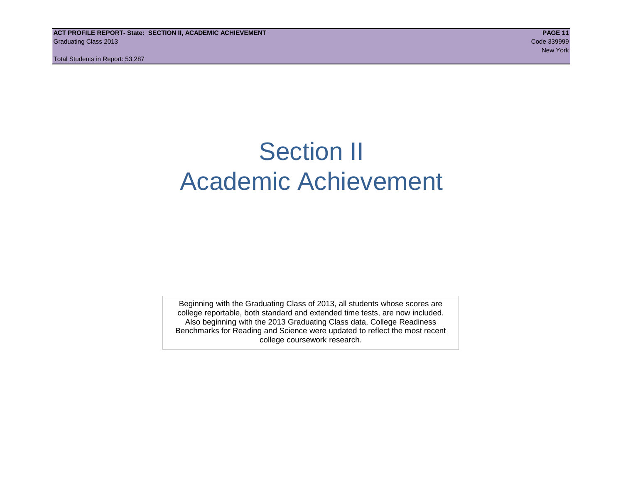# Section II Academic Achievement

Beginning with the Graduating Class of 2013, all students whose scores are college reportable, both standard and extended time tests, are now included. Also beginning with the 2013 Graduating Class data, College Readiness Benchmarks for Reading and Science were updated to reflect the most recent college coursework research.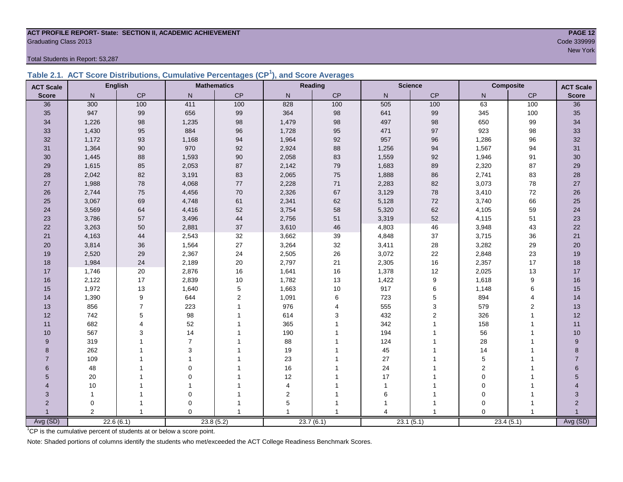### **ACT PROFILE REPORT- State: SECTION II, ACADEMIC ACHIEVEMENT PAGE 12** Graduating Class 2013 Code 339999

Total Students in Report: 53,287

|  | Table 2.1. ACT Score Distributions, Cumulative Percentages (CP <sup>1</sup> ), and Score Averages |  |  |  |
|--|---------------------------------------------------------------------------------------------------|--|--|--|
|  |                                                                                                   |  |  |  |

| <b>ACT Scale</b> |                | <b>English</b> | <b>Mathematics</b> |                |                | Reading   |                | <b>Science</b> |                | <b>Composite</b><br><b>ACT Scale</b> |                  |
|------------------|----------------|----------------|--------------------|----------------|----------------|-----------|----------------|----------------|----------------|--------------------------------------|------------------|
| <b>Score</b>     | N              | CP             | N                  | CP             | N              | CP        | N              | CP             | N              | CP                                   | <b>Score</b>     |
| 36               | 300            | 100            | 411                | 100            | 828            | 100       | 505            | 100            | 63             | 100                                  | 36               |
| 35               | 947            | 99             | 656                | 99             | 364            | 98        | 641            | 99             | 345            | 100                                  | 35               |
| 34               | 1,226          | 98             | 1,235              | $98\,$         | 1,479          | 98        | 497            | 98             | 650            | 99                                   | 34               |
| 33               | 1,430          | 95             | 884                | 96             | 1,728          | 95        | 471            | 97             | 923            | 98                                   | 33               |
| 32               | 1,172          | 93             | 1,168              | 94             | 1,964          | 92        | 957            | 96             | 1,286          | 96                                   | 32               |
| 31               | 1,364          | $90\,$         | 970                | 92             | 2,924          | 88        | 1,256          | 94             | 1,567          | 94                                   | 31               |
| 30               | 1,445          | 88             | 1,593              | 90             | 2,058          | 83        | 1,559          | 92             | 1,946          | 91                                   | $30\,$           |
| 29               | 1,615          | 85             | 2,053              | 87             | 2,142          | 79        | 1,683          | 89             | 2,320          | 87                                   | 29               |
| 28               | 2,042          | 82             | 3,191              | 83             | 2,065          | 75        | 1,888          | 86             | 2,741          | 83                                   | 28               |
| 27               | 1,988          | 78             | 4,068              | $77\,$         | 2,228          | $71$      | 2,283          | 82             | 3,073          | 78                                   | 27               |
| 26               | 2,744          | 75             | 4,456              | 70             | 2,326          | 67        | 3,129          | 78             | 3,410          | 72                                   | 26               |
| 25               | 3,067          | 69             | 4,748              | 61             | 2,341          | 62        | 5,128          | $72\,$         | 3,740          | 66                                   | 25               |
| 24               | 3,569          | 64             | 4,416              | 52             | 3,754          | 58        | 5,320          | 62             | 4,105          | 59                                   | 24               |
| 23               | 3,786          | 57             | 3,496              | 44             | 2,756          | 51        | 3,319          | 52             | 4,115          | 51                                   | 23               |
| 22               | 3,263          | 50             | 2,881              | 37             | 3,610          | 46        | 4,803          | 46             | 3,948          | 43                                   | 22               |
| 21               | 4,163          | 44             | 2,543              | 32             | 3,662          | 39        | 4,848          | 37             | 3,715          | 36                                   | 21               |
| 20               | 3,814          | 36             | 1,564              | 27             | 3,264          | 32        | 3,411          | 28             | 3,282          | 29                                   | 20               |
| 19               | 2,520          | 29             | 2,367              | 24             | 2,505          | 26        | 3,072          | 22             | 2,848          | 23                                   | 19               |
| 18               | 1,984          | 24             | 2,189              | 20             | 2,797          | 21        | 2,305          | 16             | 2,357          | 17                                   | 18               |
| 17               | 1,746          | $20\,$         | 2,876              | 16             | 1,641          | 16        | 1,378          | 12             | 2,025          | 13                                   | 17               |
| 16               | 2,122          | 17             | 2,839              | 10             | 1,782          | 13        | 1,422          | 9              | 1,618          | 9                                    | 16               |
| 15               | 1,972          | 13             | 1,640              | 5              | 1,663          | 10        | 917            | 6              | 1,148          | 6                                    | 15               |
| 14               | 1,390          | 9              | 644                | $\overline{2}$ | 1,091          | 6         | 723            | 5              | 894            | $\overline{4}$                       | 14               |
| 13               | 856            | $\overline{7}$ | 223                | $\mathbf{1}$   | 976            | 4         | 555            | 3              | 579            | $\boldsymbol{2}$                     | 13               |
| 12               | 742            | 5              | 98                 |                | 614            | 3         | 432            | $\mathbf{2}$   | 326            | 1                                    | 12               |
| 11               | 682            | 4              | 52                 |                | 365            |           | 342            | 1              | 158            |                                      | 11               |
| 10               | 567            | 3              | 14                 |                | 190            |           | 194            | 1              | 56             | 1                                    | 10               |
| 9                | 319            |                | $\overline{7}$     |                | 88             |           | 124            |                | 28             | $\overline{1}$                       | $\boldsymbol{9}$ |
| 8                | 262            |                | 3                  |                | 19             |           | 45             |                | 14             | 1                                    | 8                |
| $\overline{7}$   | 109            |                |                    |                | 23             |           | 27             |                | 5              |                                      | $\overline{7}$   |
| 6                | 48             |                | $\Omega$           |                | 16             |           | 24             |                | $\overline{2}$ |                                      | 6                |
| 5                | 20             |                | $\Omega$           |                | 12             |           | 17             |                | $\mathbf 0$    |                                      | 5                |
| 4                | 10             |                | $\overline{1}$     |                | 4              |           | $\mathbf{1}$   |                | 0              |                                      |                  |
| 3                |                |                | $\mathbf 0$        |                | $\mathbf 2$    |           | 6              |                | $\mathbf 0$    |                                      | 3                |
| $\overline{2}$   | 0              |                | $\mathbf 0$        |                | 5              |           |                | 1              | $\mathbf 0$    |                                      | $\overline{c}$   |
|                  | $\overline{2}$ | $\mathbf{1}$   | $\Omega$           | 1              | $\overline{1}$ |           | $\overline{4}$ | $\mathbf{1}$   | $\Omega$       |                                      |                  |
| Avg (SD)         |                | 22.6(6.1)      |                    | 23.8(5.2)      |                | 23.7(6.1) |                | 23.1(5.1)      |                | 23.4(5.1)                            | Avg (SD)         |

<sup>1</sup>CP is the cumulative percent of students at or below a score point.

Note: Shaded portions of columns identify the students who met/exceeded the ACT College Readiness Benchmark Scores.

New York in the contract of the contract of the contract of the contract of the contract of the New York in the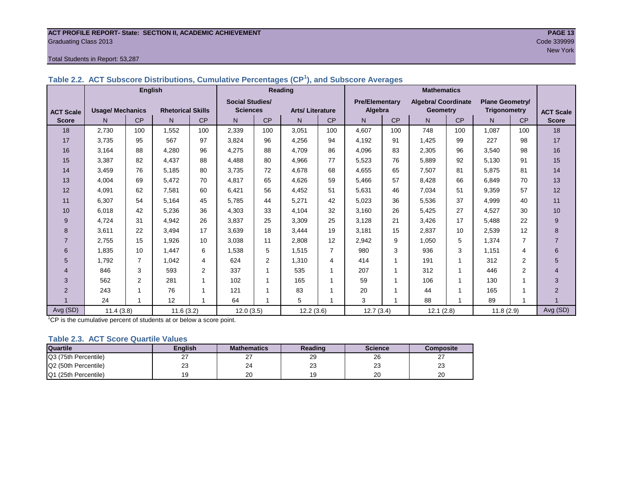#### **ACT PROFILE REPORT- State: SECTION II, ACADEMIC ACHIEVEMENT PAGE 13 Graduating Class 2013** Code 339999

#### Total Students in Report: 53,287

| <b>English</b><br><b>Mathematics</b><br>Reading<br><b>Social Studies/</b><br><b>Algebra/ Coordinate</b><br><b>Pre/Elementary</b><br><b>Sciences</b><br>Algebra<br><b>Rhetorical Skills</b><br><b>Geometry</b><br><b>Usage/ Mechanics</b><br><b>Arts/Literature</b><br><b>ACT Scale</b><br><b>CP</b><br><b>CP</b><br>CP<br>N <sub>1</sub><br><b>CP</b><br>CP<br><b>CP</b><br>N.<br>N <sub>1</sub><br>N.<br>N.<br>N.<br>N.<br><b>Score</b><br>4,607<br>18<br>2,730<br>100<br>1,552<br>100<br>2,339<br>100<br>3,051<br>100<br>100<br>748<br>100<br>1.087<br>95<br>567<br>97<br>4,256<br>94<br>91<br>1,425<br>99<br>227<br>17<br>3,735<br>3,824<br>96<br>4,192<br>16<br>3,164<br>96<br>88<br>4,709<br>86<br>4,096<br>83<br>96<br>88<br>4,280<br>4,275<br>2,305<br>3,540 | <b>Plane Geometry/</b><br><b>Trigonometry</b><br><b>ACT Scale</b><br><b>CP</b><br><b>Score</b><br>100<br>18<br>98<br>17 |  |
|---------------------------------------------------------------------------------------------------------------------------------------------------------------------------------------------------------------------------------------------------------------------------------------------------------------------------------------------------------------------------------------------------------------------------------------------------------------------------------------------------------------------------------------------------------------------------------------------------------------------------------------------------------------------------------------------------------------------------------------------------------------------|-------------------------------------------------------------------------------------------------------------------------|--|
|                                                                                                                                                                                                                                                                                                                                                                                                                                                                                                                                                                                                                                                                                                                                                                     |                                                                                                                         |  |
|                                                                                                                                                                                                                                                                                                                                                                                                                                                                                                                                                                                                                                                                                                                                                                     |                                                                                                                         |  |
|                                                                                                                                                                                                                                                                                                                                                                                                                                                                                                                                                                                                                                                                                                                                                                     |                                                                                                                         |  |
|                                                                                                                                                                                                                                                                                                                                                                                                                                                                                                                                                                                                                                                                                                                                                                     |                                                                                                                         |  |
|                                                                                                                                                                                                                                                                                                                                                                                                                                                                                                                                                                                                                                                                                                                                                                     |                                                                                                                         |  |
|                                                                                                                                                                                                                                                                                                                                                                                                                                                                                                                                                                                                                                                                                                                                                                     |                                                                                                                         |  |
|                                                                                                                                                                                                                                                                                                                                                                                                                                                                                                                                                                                                                                                                                                                                                                     | 98<br>16                                                                                                                |  |
| 77<br>3,387<br>82<br>4,437<br>88<br>4,488<br>4,966<br>76<br>92<br>5,130<br>15<br>80<br>5,523<br>5,889                                                                                                                                                                                                                                                                                                                                                                                                                                                                                                                                                                                                                                                               | 91<br>15                                                                                                                |  |
| 3,459<br>5,185<br>80<br>3,735<br>4,678<br>68<br>5,875<br>14<br>76<br>72<br>4,655<br>65<br>7,507<br>81                                                                                                                                                                                                                                                                                                                                                                                                                                                                                                                                                                                                                                                               | 81<br>14                                                                                                                |  |
| 13<br>5,472<br>59<br>57<br>66<br>4,004<br>69<br>70<br>4,817<br>65<br>4,626<br>5,466<br>8,428<br>6,849                                                                                                                                                                                                                                                                                                                                                                                                                                                                                                                                                                                                                                                               | 13<br>70                                                                                                                |  |
| 12<br>62<br>60<br>51<br>46<br>4,091<br>7,581<br>6,421<br>56<br>4,452<br>5,631<br>7,034<br>51<br>9,359                                                                                                                                                                                                                                                                                                                                                                                                                                                                                                                                                                                                                                                               | 57<br>12                                                                                                                |  |
| 11<br>6,307<br>5,164<br>45<br>5,785<br>5,271<br>42<br>36<br>37<br>4,999<br>54<br>44<br>5,023<br>5,536                                                                                                                                                                                                                                                                                                                                                                                                                                                                                                                                                                                                                                                               | 40<br>11                                                                                                                |  |
| 36<br>32<br>10<br>6,018<br>5,236<br>33<br>4,104<br>3,160<br>26<br>5,425<br>27<br>42<br>4,303<br>4,527                                                                                                                                                                                                                                                                                                                                                                                                                                                                                                                                                                                                                                                               | 10<br>30                                                                                                                |  |
| 25<br>21<br>31<br>26<br>25<br>17<br>9<br>4,724<br>4,942<br>3,837<br>3,309<br>3,128<br>3,426<br>5,488                                                                                                                                                                                                                                                                                                                                                                                                                                                                                                                                                                                                                                                                | 22<br>9                                                                                                                 |  |
| 17<br>22<br>3,494<br>3,639<br>18<br>19<br>2,837<br>2,539<br>8<br>3,611<br>3,444<br>3,181<br>15<br>10                                                                                                                                                                                                                                                                                                                                                                                                                                                                                                                                                                                                                                                                | 12<br>8                                                                                                                 |  |
| 1,926<br>12<br>2,755<br>15<br>10<br>3,038<br>11<br>2,808<br>2,942<br>9<br>1,050<br>5<br>1,374<br>7                                                                                                                                                                                                                                                                                                                                                                                                                                                                                                                                                                                                                                                                  | $\overline{7}$                                                                                                          |  |
| $\overline{7}$<br>3<br>6<br>1,447<br>6<br>5<br>3<br>1,835<br>10<br>1,538<br>1,515<br>980<br>936<br>1,151                                                                                                                                                                                                                                                                                                                                                                                                                                                                                                                                                                                                                                                            | 6<br>4                                                                                                                  |  |
| 2<br>414<br>312<br>5<br>1,792<br>7<br>1,042<br>4<br>624<br>1,310<br>4<br>1<br>191<br>-1                                                                                                                                                                                                                                                                                                                                                                                                                                                                                                                                                                                                                                                                             | $\overline{2}$<br>5                                                                                                     |  |
| 846<br>3<br>593<br>$\overline{2}$<br>337<br>535<br>207<br>312<br>446<br>1<br>1<br>4                                                                                                                                                                                                                                                                                                                                                                                                                                                                                                                                                                                                                                                                                 | $\overline{2}$<br>4                                                                                                     |  |
| 3<br>562<br>$\overline{2}$<br>281<br>102<br>165<br>59<br>106<br>130<br>1<br>1<br>-1<br>-1                                                                                                                                                                                                                                                                                                                                                                                                                                                                                                                                                                                                                                                                           | 3                                                                                                                       |  |
| 20<br>$\overline{2}$<br>243<br>76<br>121<br>83<br>44<br>165                                                                                                                                                                                                                                                                                                                                                                                                                                                                                                                                                                                                                                                                                                         | $\overline{2}$                                                                                                          |  |
| 12<br>89<br>24<br>64<br>3<br>88<br>5                                                                                                                                                                                                                                                                                                                                                                                                                                                                                                                                                                                                                                                                                                                                |                                                                                                                         |  |

Avg (SD) 11.4 (3.8) 11.6 (3.2) 12.0 (3.5) 12.2 (3.6) 12.7 (3.4) 12.1 (2.8) 11.8 (2.9) Avg (SD)

**Table 2.2. ACT Subscore Distributions, Cumulative Percentages (CP<sup>1</sup> ), and Subscore Averages**

 ${}^{1}$ CP is the cumulative percent of students at or below a score point.

#### **Table 2.3. ACT Score Quartile Values**

| <b>Quartile</b>      | <b>Enalish</b> | <b>Mathematics</b> | Reading      | <b>Science</b> | Composite |
|----------------------|----------------|--------------------|--------------|----------------|-----------|
| Q3 (75th Percentile) | <u>.</u>       |                    | 29           | 26             |           |
| Q2 (50th Percentile) | 23             | 24                 | $\sim$<br>ںے | ົ<br>د∠        | ົ<br>دے   |
| Q1 (25th Percentile) |                | 20                 |              | 20             | 20        |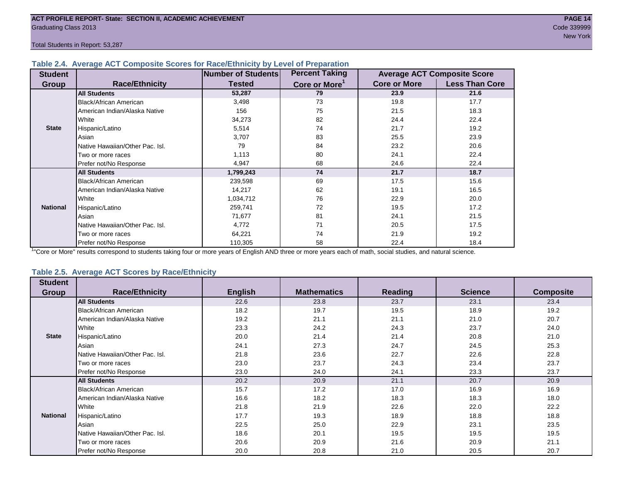#### **Table 2.4. Average ACT Composite Scores for Race/Ethnicity by Level of Preparation**

| <b>Student</b>  |                                 | <b>Number of Students</b> | <b>Percent Taking</b>     |                     | <b>Average ACT Composite Score</b> |
|-----------------|---------------------------------|---------------------------|---------------------------|---------------------|------------------------------------|
| <b>Group</b>    | <b>Race/Ethnicity</b>           | <b>Tested</b>             | Core or More <sup>1</sup> | <b>Core or More</b> | <b>Less Than Core</b>              |
|                 | <b>All Students</b>             | 53,287                    | 79                        | 23.9                | 21.6                               |
|                 | Black/African American          | 3,498                     | 73                        | 19.8                | 17.7                               |
|                 | American Indian/Alaska Native   | 156                       | 75                        | 21.5                | 18.3                               |
|                 | <b>White</b>                    | 34,273                    | 82                        | 24.4                | 22.4                               |
| <b>State</b>    | Hispanic/Latino                 | 5,514                     | 74                        | 21.7                | 19.2                               |
|                 | Asian                           | 3,707                     | 83                        | 25.5                | 23.9                               |
|                 | Native Hawaiian/Other Pac. Isl. | 79                        | 84                        | 23.2                | 20.6                               |
|                 | I Two or more races             | 1,113                     | 80                        | 24.1                | 22.4                               |
|                 | Prefer not/No Response          | 4,947                     | 68                        | 24.6                | 22.4                               |
|                 | <b>All Students</b>             | 1,799,243                 | 74                        | 21.7                | 18.7                               |
|                 | Black/African American          | 239,598                   | 69                        | 17.5                | 15.6                               |
|                 | American Indian/Alaska Native   | 14,217                    | 62                        | 19.1                | 16.5                               |
|                 | <b>White</b>                    | 1,034,712                 | 76                        | 22.9                | 20.0                               |
| <b>National</b> | Hispanic/Latino                 | 259,741                   | 72                        | 19.5                | 17.2                               |
|                 | Asian                           | 71,677                    | 81                        | 24.1                | 21.5                               |
|                 | Native Hawaiian/Other Pac. Isl. | 4,772                     | 71                        | 20.5                | 17.5                               |
|                 | I Two or more races             | 64,221                    | 74                        | 21.9                | 19.2                               |
|                 | Prefer not/No Response          | 110,305                   | 58                        | 22.4                | 18.4                               |

<sup>1</sup>"Core or More" results correspond to students taking four or more years of English AND three or more years each of math, social studies, and natural science.

#### **Table 2.5. Average ACT Scores by Race/Ethnicity**

| <b>Student</b>  |                                 |                |                    |                |                |                  |
|-----------------|---------------------------------|----------------|--------------------|----------------|----------------|------------------|
| <b>Group</b>    | <b>Race/Ethnicity</b>           | <b>English</b> | <b>Mathematics</b> | <b>Reading</b> | <b>Science</b> | <b>Composite</b> |
|                 | <b>All Students</b>             | 22.6           | 23.8               | 23.7           | 23.1           | 23.4             |
|                 | Black/African American          | 18.2           | 19.7               | 19.5           | 18.9           | 19.2             |
|                 | American Indian/Alaska Native   | 19.2           | 21.1               | 21.1           | 21.0           | 20.7             |
|                 | White                           | 23.3           | 24.2               | 24.3           | 23.7           | 24.0             |
| <b>State</b>    | Hispanic/Latino                 | 20.0           | 21.4               | 21.4           | 20.8           | 21.0             |
|                 | Asian                           | 24.1           | 27.3               | 24.7           | 24.5           | 25.3             |
|                 | Native Hawaiian/Other Pac. Isl. | 21.8           | 23.6               | 22.7           | 22.6           | 22.8             |
|                 | Two or more races               | 23.0           | 23.7               | 24.3           | 23.4           | 23.7             |
|                 | Prefer not/No Response          | 23.0           | 24.0               | 24.1           | 23.3           | 23.7             |
|                 | <b>All Students</b>             | 20.2           | 20.9               | 21.1           | 20.7           | 20.9             |
|                 | Black/African American          | 15.7           | 17.2               | 17.0           | 16.9           | 16.9             |
|                 | American Indian/Alaska Native   | 16.6           | 18.2               | 18.3           | 18.3           | 18.0             |
|                 | White                           | 21.8           | 21.9               | 22.6           | 22.0           | 22.2             |
| <b>National</b> | Hispanic/Latino                 | 17.7           | 19.3               | 18.9           | 18.8           | 18.8             |
|                 | Asian                           | 22.5           | 25.0               | 22.9           | 23.1           | 23.5             |
|                 | Native Hawaiian/Other Pac. Isl. | 18.6           | 20.1               | 19.5           | 19.5           | 19.5             |
|                 | Two or more races               | 20.6           | 20.9               | 21.6           | 20.9           | 21.1             |
|                 | Prefer not/No Response          | 20.0           | 20.8               | 21.0           | 20.5           | 20.7             |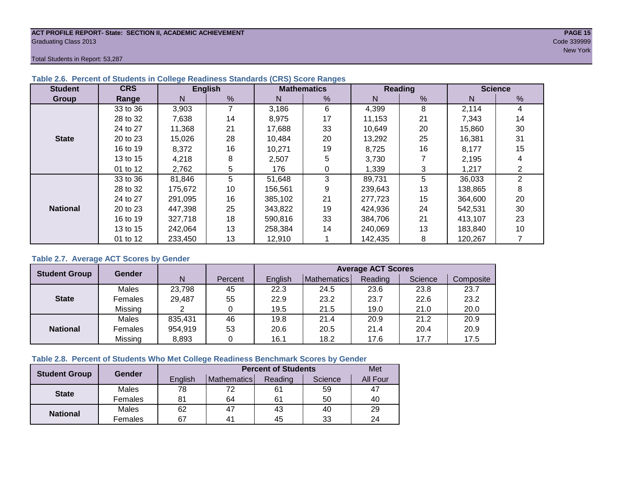#### **ACT PROFILE REPORT- State: SECTION II, ACADEMIC ACHIEVEMENT PAGE 15** Graduating Class 2013 Code 339999

Total Students in Report: 53,287

| <b>Student</b>  | <b>CRS</b> |         | <b>English</b> |         | <b>Mathematics</b> |         | Reading | <b>Science</b> |                |  |
|-----------------|------------|---------|----------------|---------|--------------------|---------|---------|----------------|----------------|--|
| Group           | Range      | N       | %              | N       | %                  | N       | %       | N              | %              |  |
|                 | 33 to 36   | 3,903   |                | 3,186   | 6                  | 4,399   | 8       | 2,114          | 4              |  |
|                 | 28 to 32   | 7,638   | 14             | 8,975   | 17                 | 11.153  | 21      | 7,343          | 14             |  |
|                 | 24 to 27   | 11,368  | 21             | 17,688  | 33                 | 10,649  | 20      | 15,860         | 30             |  |
| <b>State</b>    | 20 to 23   | 15,026  | 28             | 10,484  | 20                 | 13,292  | 25      | 16,381         | 31             |  |
|                 | 16 to 19   | 8,372   | 16             | 10.271  | 19                 | 8,725   | 16      | 8.177          | 15             |  |
|                 | 13 to 15   | 4,218   | 8              | 2,507   | 5                  | 3,730   |         | 2,195          | 4              |  |
|                 | 01 to 12   | 2,762   | 5              | 176     |                    | 1,339   | 3       | 1,217          | 2              |  |
|                 | 33 to 36   | 81,846  | 5              | 51,648  | 3                  | 89,731  | 5       | 36,033         | $\overline{2}$ |  |
|                 | 28 to 32   | 175,672 | 10             | 156,561 | 9                  | 239,643 | 13      | 138,865        | 8              |  |
|                 | 24 to 27   | 291,095 | 16             | 385.102 | 21                 | 277.723 | 15      | 364,600        | 20             |  |
| <b>National</b> | 20 to 23   | 447,398 | 25             | 343,822 | 19                 | 424,936 | 24      | 542,531        | 30             |  |
|                 | 16 to 19   | 327,718 | 18             | 590,816 | 33                 | 384,706 | 21      | 413.107        | 23             |  |
|                 | 13 to 15   | 242.064 | 13             | 258.384 | 14                 | 240.069 | 13      | 183,840        | 10             |  |
|                 | 01 to 12   | 233,450 | 13             | 12,910  |                    | 142,435 | 8       | 120,267        |                |  |

#### **Table 2.6. Percent of Students in College Readiness Standards (CRS) Score Ranges**

#### **Table 2.7. Average ACT Scores by Gender**

| <b>Student Group</b> | <b>Gender</b> |         |         | <b>Average ACT Scores</b> |             |         |         |           |  |  |  |
|----------------------|---------------|---------|---------|---------------------------|-------------|---------|---------|-----------|--|--|--|
|                      |               | N       | Percent | Enalish                   | Mathematics | Reading | Science | Composite |  |  |  |
|                      | Males         | 23,798  | 45      | 22.3                      | 24.5        | 23.6    | 23.8    | 23.7      |  |  |  |
| <b>State</b>         | Females       | 29,487  | 55      | 22.9                      | 23.2        | 23.7    | 22.6    | 23.2      |  |  |  |
|                      | Missing       |         |         | 19.5                      | 21.5        | 19.0    | 21.0    | 20.0      |  |  |  |
|                      | Males         | 835,431 | 46      | 19.8                      | 21.4        | 20.9    | 21.2    | 20.9      |  |  |  |
| <b>National</b>      | Females       | 954,919 | 53      | 20.6                      | 20.5        | 21.4    | 20.4    | 20.9      |  |  |  |
|                      | Missing       | 8,893   | 0       | 16.1                      | 18.2        | 17.6    | 17.7    | 17.5      |  |  |  |

#### **Table 2.8. Percent of Students Who Met College Readiness Benchmark Scores by Gender**

| <b>Student Group</b> | Gender       |         | <b>Percent of Students</b> |         |         |                 |  |  |  |  |
|----------------------|--------------|---------|----------------------------|---------|---------|-----------------|--|--|--|--|
|                      |              | English | Mathematics                | Reading | Science | <b>All Four</b> |  |  |  |  |
| <b>State</b>         | <b>Males</b> | 78      |                            | 61      | 59      | 47              |  |  |  |  |
|                      | Females      | 81      | 64                         | 61      | 50      | 40              |  |  |  |  |
| <b>National</b>      | <b>Males</b> | 62      | 47                         | 43      | 40      | 29              |  |  |  |  |
|                      | Females      | 67      | 4 <sup>1</sup>             | 45      | 33      | 24              |  |  |  |  |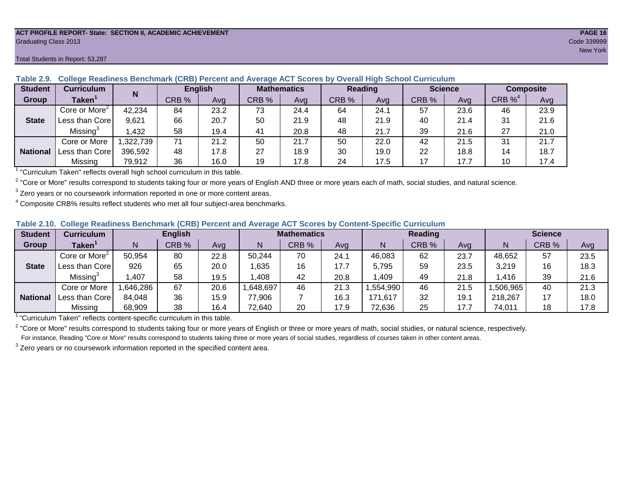#### **ACT PROFILE REPORT- State: SECTION II, ACADEMIC ACHIEVEMENT PAGE 16** Graduating Class 2013 Code 339999

#### Total Students in Report: 53,287

| <b>Student</b>  | <b>Curriculum</b>                       | N        | <b>English</b> |      | <b>Mathematics</b> |      | <b>Reading</b> |      | <b>Science</b> |      | <b>Composite</b>      |      |
|-----------------|-----------------------------------------|----------|----------------|------|--------------------|------|----------------|------|----------------|------|-----------------------|------|
| <b>Group</b>    | Taken $^{\scriptscriptstyle\mathsf{T}}$ |          | CRB %          | Avg  | CRB %              | Ava  | CRB %          | Avg  | CRB %          | Ava  | $CRB \%$ <sup>4</sup> | Avg  |
|                 | Core or More <sup>2</sup>               | 42,234   | 84             | 23.2 | 73                 | 24.4 | 64             | 24.1 | 57             | 23.6 | 46                    | 23.9 |
| <b>State</b>    | Less than Core                          | 9,621    | 66             | 20.7 | 50                 | 21.9 | 48             | 21.9 | 40             | 21.4 | 31                    | 21.6 |
|                 | Missing <sup>3</sup>                    | ,432     | 58             | 19.4 | 41                 | 20.8 | 48             | 21.7 | 39             | 21.6 | 27                    | 21.0 |
|                 | Core or More                            | .322,739 | 71             | 21.2 | 50                 | 21.7 | 50             | 22.0 | 42             | 21.5 | 31                    | 21.7 |
| <b>National</b> | Less than Core                          | 396,592  | 48             | 17.8 | 27                 | 18.9 | 30             | 19.0 | 22             | 18.8 | 14                    | 18.7 |
|                 | Missing                                 | 79,912   | 36             | 16.0 | 19                 | 17.8 | 24             | 17.5 | 17             | 17.7 | 10                    | 17.4 |

#### **Table 2.9. College Readiness Benchmark (CRB) Percent and Average ACT Scores by Overall High School Curriculum**

<sup>1</sup> "Curriculum Taken" reflects overall high school curriculum in this table.

 $^2$  "Core or More" results correspond to students taking four or more years of English AND three or more years each of math, social studies, and natural science.

 $3$  Zero years or no coursework information reported in one or more content areas.

 $4$  Composite CRB% results reflect students who met all four subject-area benchmarks.

#### **Table 2.10. College Readiness Benchmark (CRB) Percent and Average ACT Scores by Content-Specific Curriculum**

| <b>Student</b>  | Curriculum                | <b>English</b> |       |      | <b>Mathematics</b> |       |      | <b>Reading</b> |       |      | <b>Science</b> |       |      |
|-----------------|---------------------------|----------------|-------|------|--------------------|-------|------|----------------|-------|------|----------------|-------|------|
| Group           | <b>Taken</b>              |                | CRB % | Avg  |                    | CRB % | Avg  | N              | CRB % | Avg  | N              | CRB % | Avg  |
|                 | Core or More <sup>2</sup> | 50,954         | 80    | 22.8 | 50,244             | 70    | 24.1 | 46,083         | 62    | 23.7 | 48,652         | 57    | 23.5 |
| <b>State</b>    | Less than Core            | 926            | 65    | 20.0 | .635               | 16    | 7.7  | 5,795          | 59    | 23.5 | 3,219          | 16    | 18.3 |
|                 | Missing                   | ,407           | 58    | 19.5 | ,408               | 42    | 20.8 | ,409           | 49    | 21.8 | ,416           | 39    | 21.6 |
|                 | Core or More              | ,646,286       | 67    | 20.6 | ,648,697           | 46    | 21.3 | .554,990       | 46    | 21.5 | ,506,965       | 40    | 21.3 |
| <b>National</b> | Less than Core            | 84,048         | 36    | 15.9 | 77,906             |       | 16.3 | 171,617        | 32    | 19.1 | 218,267        |       | 18.0 |
|                 | Missing                   | 68,909         | 38    | 16.4 | 72,640             | 20    | 17.9 | 72,636         | 25    | 17.7 | 74,011         | 18    | 17.8 |

<sup>1</sup> "Curriculum Taken" reflects content-specific curriculum in this table.

<sup>2</sup> "Core or More" results correspond to students taking four or more years of English or three or more years of math, social studies, or natural science, respectively. For instance, Reading "Core or More" results correspond to students taking three or more years of social studies, regardless of courses taken in other content areas.

 $3$  Zero years or no coursework information reported in the specified content area.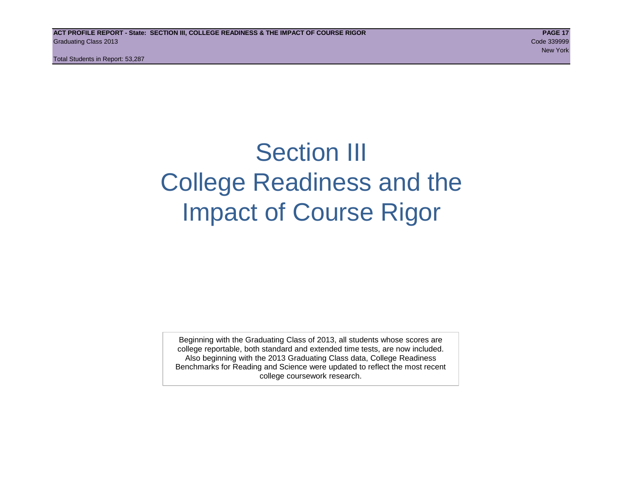# Section III College Readiness and the Impact of Course Rigor

Beginning with the Graduating Class of 2013, all students whose scores are college reportable, both standard and extended time tests, are now included. Also beginning with the 2013 Graduating Class data, College Readiness Benchmarks for Reading and Science were updated to reflect the most recent college coursework research.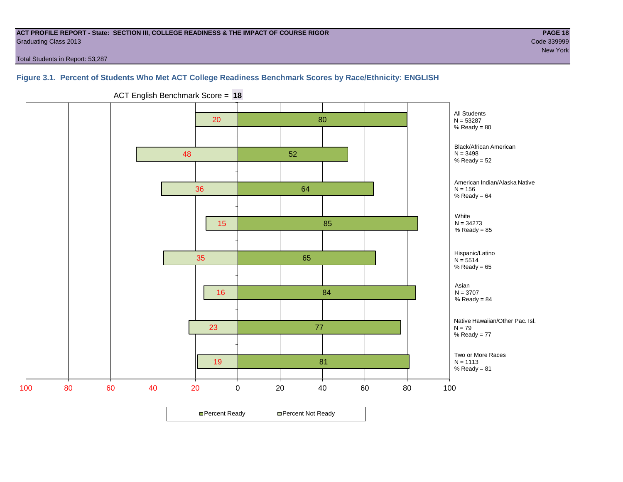#### **ACT PROFILE REPORT - State: SECTION III, COLLEGE READINESS & THE IMPACT OF COURSE RIGOR PAGE 18** Graduating Class 2013 Code 339999

Total Students in Report: 53,287

# new York and the state of the state of the state of the state of the state of the state of the New York (1990)

**Figure 3.1. Percent of Students Who Met ACT College Readiness Benchmark Scores by Race/Ethnicity: ENGLISH**



ACT English Benchmark Score = **18**

**□ Percent Ready DPercent Not Ready**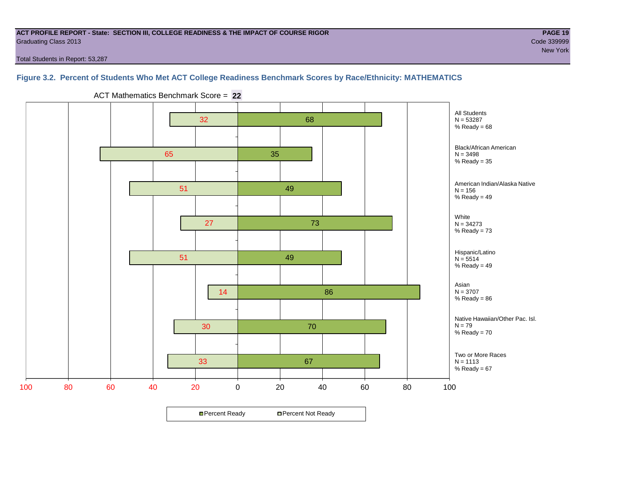#### **ACT PROFILE REPORT - State: SECTION III, COLLEGE READINESS & THE IMPACT OF COURSE RIGOR PAGE 19** Graduating Class 2013 Code 339999

Total Students in Report: 53,287

### **Figure 3.2. Percent of Students Who Met ACT College Readiness Benchmark Scores by Race/Ethnicity: MATHEMATICS**



ACT Mathematics Benchmark Score = **22**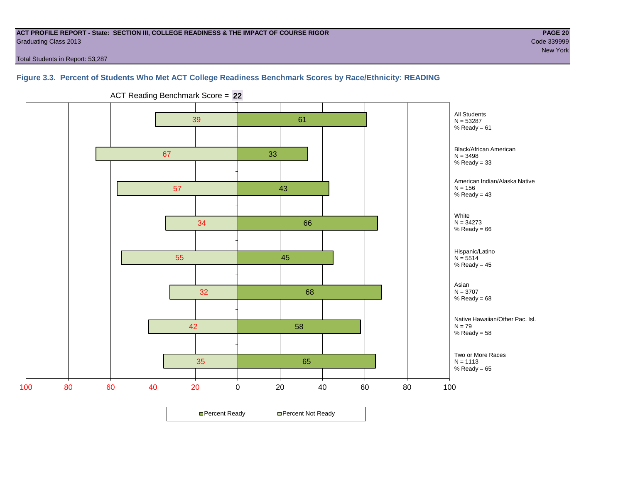#### **ACT PROFILE REPORT - State: SECTION III, COLLEGE READINESS & THE IMPACT OF COURSE RIGOR PAGE 20** Graduating Class 2013 Code 339999

Total Students in Report: 53,287

#### **Figure 3.3. Percent of Students Who Met ACT College Readiness Benchmark Scores by Race/Ethnicity: READING**



ACT Reading Benchmark Score = **22**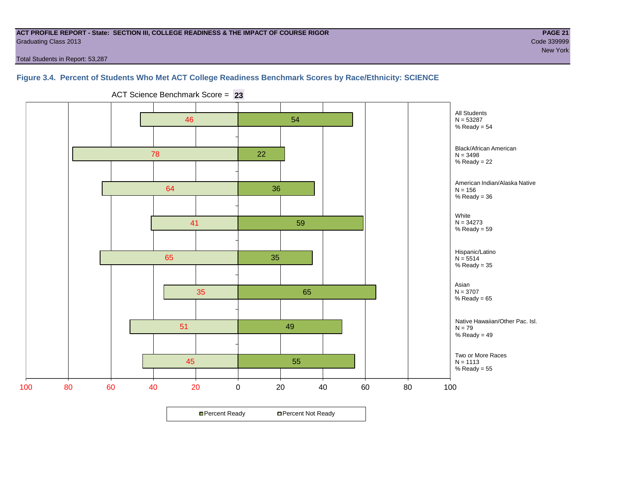#### **ACT PROFILE REPORT - State: SECTION III, COLLEGE READINESS & THE IMPACT OF COURSE RIGOR PAGE 21** Graduating Class 2013 Code 339999

new York and the state of the state of the state of the state of the state of the state of the New York (1990)

Total Students in Report: 53,287

#### **Figure 3.4. Percent of Students Who Met ACT College Readiness Benchmark Scores by Race/Ethnicity: SCIENCE**

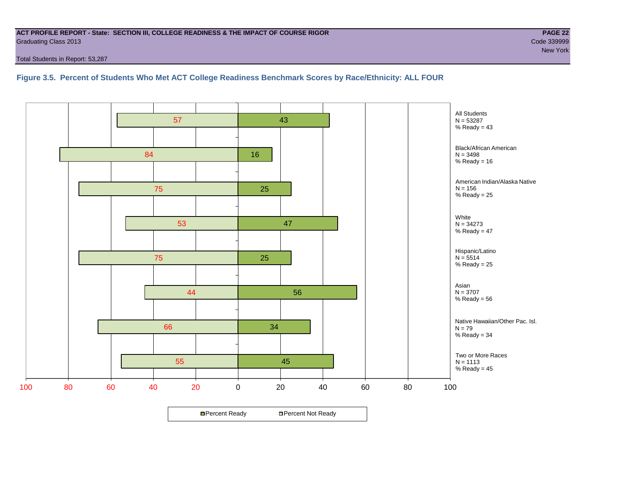#### **ACT PROFILE REPORT - State: SECTION III, COLLEGE READINESS & THE IMPACT OF COURSE RIGOR PAGE 22** Graduating Class 2013 Code 339999

Total Students in Report: 53,287

**Figure 3.5. Percent of Students Who Met ACT College Readiness Benchmark Scores by Race/Ethnicity: ALL FOUR**

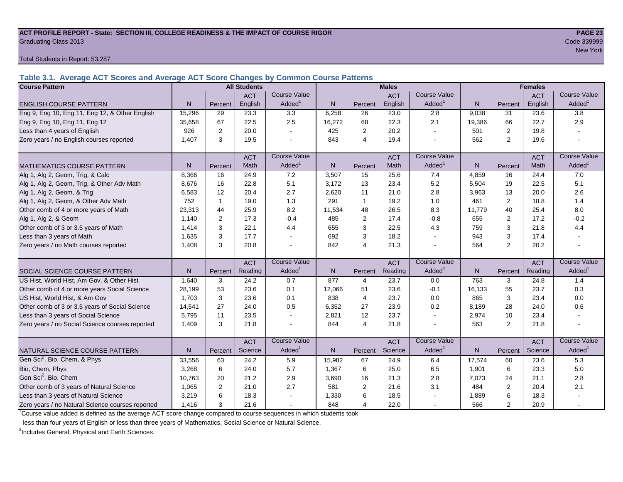#### **ACT PROFILE REPORT - State: SECTION III, COLLEGE READINESS & THE IMPACT OF COURSE RIGOR PAGE 23** Graduating Class 2013 Code 339999

Total Students in Report: 53,287

**Table 3.1. Average ACT Scores and Average ACT Score Changes by Common Course Patterns**

| <b>Course Pattern</b>                            |        |                | <b>All Students</b> |                     |              |                | <b>Males</b> |                          |              |                | <b>Females</b> |                        |
|--------------------------------------------------|--------|----------------|---------------------|---------------------|--------------|----------------|--------------|--------------------------|--------------|----------------|----------------|------------------------|
|                                                  |        |                | <b>ACT</b>          | <b>Course Value</b> |              |                | <b>ACT</b>   | <b>Course Value</b>      |              |                | <b>ACT</b>     | <b>Course Value</b>    |
| <b>ENGLISH COURSE PATTERN</b>                    | N.     | Percent        | English             | Added <sup>1</sup>  | N            | Percent        | English      | Added                    | N            | Percent        | English        | A d d e d <sup>1</sup> |
| Eng 9, Eng 10, Eng 11, Eng 12, & Other English   | 15,296 | 29             | 23.3                | 3.3                 | 6,258        | 26             | 23.0         | 2.8                      | 9,038        | 31             | 23.6           | 3.8                    |
| Eng 9, Eng 10, Eng 11, Eng 12                    | 35.658 | 67             | 22.5                | 2.5                 | 16,272       | 68             | 22.3         | 2.1                      | 19,386       | 66             | 22.7           | 2.9                    |
| Less than 4 years of English                     | 926    | 2              | 20.0                |                     | 425          | $\overline{2}$ | 20.2         | $\sim$                   | 501          | 2              | 19.8           |                        |
| Zero years / no English courses reported         | 1,407  | 3              | 19.5                |                     | 843          | $\overline{4}$ | 19.4         | $\blacksquare$           | 562          | $\overline{2}$ | 19.6           |                        |
|                                                  |        |                | <b>ACT</b>          | <b>Course Value</b> |              |                | <b>ACT</b>   | <b>Course Value</b>      |              |                | <b>ACT</b>     | <b>Course Value</b>    |
| <b>MATHEMATICS COURSE PATTERN</b>                | N.     | Percent        | Math                | Added <sup>1</sup>  | $\mathsf{N}$ | Percent        | Math         | Added <sup>1</sup>       | $\mathsf{N}$ | Percent        | Math           | A d d e d <sup>1</sup> |
| Alg 1, Alg 2, Geom, Trig, & Calc                 | 8.366  | 16             | 24.9                | 7.2                 | 3,507        | 15             | 25.6         | 7.4                      | 4,859        | 16             | 24.4           | 7.0                    |
| Alg 1, Alg 2, Geom, Trig, & Other Adv Math       | 8.676  | 16             | 22.8                | 5.1                 | 3,172        | 13             | 23.4         | 5.2                      | 5,504        | 19             | 22.5           | 5.1                    |
| Alg 1, Alg 2, Geom, & Trig                       | 6.583  | 12             | 20.4                | 2.7                 | 2,620        | 11             | 21.0         | 2.8                      | 3,963        | 13             | 20.0           | 2.6                    |
| Alg 1, Alg 2, Geom, & Other Adv Math             | 752    | $\mathbf{1}$   | 19.0                | 1.3                 | 291          | $\mathbf{1}$   | 19.2         | 1.0                      | 461          | 2              | 18.8           | 1.4                    |
| Other comb of 4 or more years of Math            | 23,313 | 44             | 25.9                | 8.2                 | 11,534       | 48             | 26.5         | 8.3                      | 11,779       | 40             | 25.4           | 8.0                    |
| Alg 1, Alg 2, & Geom                             | 1.140  | $\overline{2}$ | 17.3                | $-0.4$              | 485          | $\overline{2}$ | 17.4         | $-0.8$                   | 655          | 2              | 17.2           | $-0.2$                 |
| Other comb of 3 or 3.5 years of Math             | 1,414  | 3              | 22.1                | 4.4                 | 655          | 3              | 22.5         | 4.3                      | 759          | 3              | 21.8           | 4.4                    |
| Less than 3 years of Math                        | 1.635  | 3              | 17.7                |                     | 692          | 3              | 18.2         | $\sim$                   | 943          | 3              | 17.4           |                        |
| Zero years / no Math courses reported            | 1.408  | 3              | 20.8                |                     | 842          | $\overline{4}$ | 21.3         | $\overline{\phantom{a}}$ | 564          | 2              | 20.2           |                        |
|                                                  |        |                | <b>ACT</b>          | <b>Course Value</b> |              |                | <b>ACT</b>   | <b>Course Value</b>      |              |                | <b>ACT</b>     | <b>Course Value</b>    |
| SOCIAL SCIENCE COURSE PATTERN                    | N.     | Percent        | Reading             | Added <sup>1</sup>  | $\mathsf{N}$ | Percent        | Reading      | Added                    | N            | Percent        | Reading        | A d d e d <sup>1</sup> |
| US Hist, World Hist, Am Gov, & Other Hist        | 1.640  | 3              | 24.2                | 0.7                 | 877          | 4              | 23.7         | 0.0                      | 763          | 3              | 24.8           | 1.4                    |
| Other comb of 4 or more years Social Science     | 28,199 | 53             | 23.6                | 0.1                 | 12,066       | 51             | 23.6         | $-0.1$                   | 16,133       | 55             | 23.7           | 0.3                    |
| US Hist, World Hist, & Am Gov                    | 1,703  | 3              | 23.6                | 0.1                 | 838          | $\overline{4}$ | 23.7         | 0.0                      | 865          | 3              | 23.4           | 0.0                    |
| Other comb of 3 or 3.5 years of Social Science   | 14,541 | 27             | 24.0                | 0.5                 | 6,352        | 27             | 23.9         | 0.2                      | 8,189        | 28             | 24.0           | 0.6                    |
| Less than 3 years of Social Science              | 5,795  | 11             | 23.5                |                     | 2,821        | 12             | 23.7         | $\sim$                   | 2,974        | 10             | 23.4           |                        |
| Zero years / no Social Science courses reported  | 1,409  | 3              | 21.8                |                     | 844          | $\overline{4}$ | 21.8         | $\overline{\phantom{a}}$ | 563          | 2              | 21.8           |                        |
|                                                  |        |                | <b>ACT</b>          | <b>Course Value</b> |              |                | <b>ACT</b>   | <b>Course Value</b>      |              |                | <b>ACT</b>     | <b>Course Value</b>    |
| <b>I</b> NATURAL SCIENCE COURSE PATTERN          | N      | Percent        | Science             | Added <sup>1</sup>  | $\mathsf{N}$ | Percent        | Science      | Added <sup>1</sup>       | $\mathsf{N}$ | Percent        | Science        | A d d e d <sup>1</sup> |
| Gen Sci <sup>2</sup> , Bio, Chem, & Phys         | 33,556 | 63             | 24.2                | 5.9                 | 15,982       | 67             | 24.9         | 6.4                      | 17,574       | 60             | 23.6           | 5.3                    |
| Bio, Chem, Phys                                  | 3.268  | 6              | 24.0                | 5.7                 | 1,367        | 6              | 25.0         | 6.5                      | 1,901        | 6              | 23.3           | 5.0                    |
| Gen Sci <sup>2</sup> , Bio, Chem                 | 10,763 | 20             | 21.2                | 2.9                 | 3,690        | 16             | 21.3         | 2.8                      | 7,073        | 24             | 21.1           | 2.8                    |
| Other comb of 3 years of Natural Science         | 1,065  | $\overline{2}$ | 21.0                | 2.7                 | 581          | $\mathbf{2}$   | 21.6         | 3.1                      | 484          | $\overline{c}$ | 20.4           | 2.1                    |
| Less than 3 years of Natural Science             | 3,219  | 6              | 18.3                |                     | 1,330        | 6              | 18.5         |                          | 1,889        | 6              | 18.3           |                        |
| Zero years / no Natural Science courses reported | 1,416  | 3              | 21.6                |                     | 848          | $\overline{4}$ | 22.0         | $\sim$                   | 566          | $\overline{2}$ | 20.9           |                        |

<sup>1</sup>Course value added is defined as the average ACT score change compared to course sequences in which students took

less than four years of English or less than three years of Mathematics, Social Science or Natural Science.

<sup>2</sup>Includes General, Physical and Earth Sciences.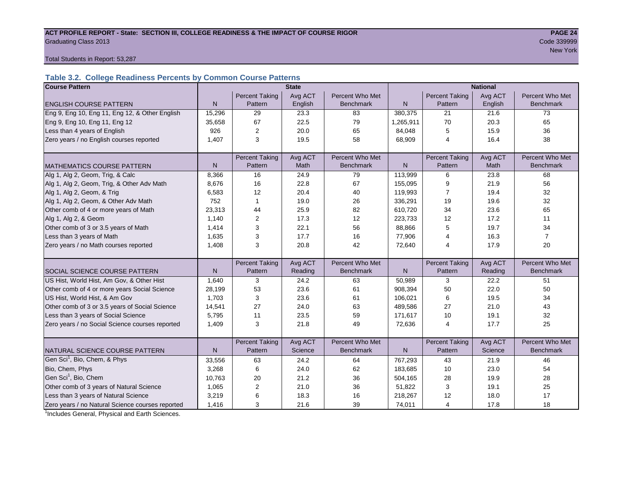## ACT PROFILE REPORT - State: SECTION III, COLLEGE READINESS & THE IMPACT OF COURSE RIGOR **PAGE 24** Graduating Class 2013 Code 339999

New York in the contract of the contract of the contract of the contract of the contract of the New York in the

Total Students in Report: 53,287

#### **Table 3.2. College Readiness Percents by Common Course Patterns**

| <b>Course Pattern</b>                            |              |                       | <b>State</b> |                  | <b>National</b> |                       |         |                  |  |
|--------------------------------------------------|--------------|-----------------------|--------------|------------------|-----------------|-----------------------|---------|------------------|--|
|                                                  |              | <b>Percent Taking</b> | Avg ACT      | Percent Who Met  |                 | <b>Percent Taking</b> | Avg ACT | Percent Who Met  |  |
| <b>ENGLISH COURSE PATTERN</b>                    | $\mathsf{N}$ | Pattern               | English      | <b>Benchmark</b> | N               | Pattern               | English | <b>Benchmark</b> |  |
| Eng 9, Eng 10, Eng 11, Eng 12, & Other English   | 15,296       | 29                    | 23.3         | 83               | 380,375         | 21                    | 21.6    | 73               |  |
| Eng 9, Eng 10, Eng 11, Eng 12                    | 35,658       | 67                    | 22.5         | 79               | 1,265,911       | 70                    | 20.3    | 65               |  |
| Less than 4 years of English                     | 926          | 2                     | 20.0         | 65               | 84,048          | 5                     | 15.9    | 36               |  |
| Zero years / no English courses reported         | 1,407        | 3                     | 19.5         | 58               | 68,909          | 4                     | 16.4    | 38               |  |
|                                                  |              |                       |              |                  |                 |                       |         |                  |  |
|                                                  |              | <b>Percent Taking</b> | Avg ACT      | Percent Who Met  |                 | <b>Percent Taking</b> | Avg ACT | Percent Who Met  |  |
| <b>MATHEMATICS COURSE PATTERN</b>                | $\mathsf{N}$ | Pattern               | Math         | <b>Benchmark</b> | $\mathsf{N}$    | Pattern               | Math    | <b>Benchmark</b> |  |
| Alg 1, Alg 2, Geom, Trig, & Calc                 | 8,366        | 16                    | 24.9         | 79               | 113,999         | 6                     | 23.8    | 68               |  |
| Alg 1, Alg 2, Geom, Trig, & Other Adv Math       | 8,676        | 16                    | 22.8         | 67               | 155,095         | 9                     | 21.9    | 56               |  |
| Alg 1, Alg 2, Geom, & Trig                       | 6,583        | 12                    | 20.4         | 40               | 119,993         | $\overline{7}$        | 19.4    | 32               |  |
| Alg 1, Alg 2, Geom, & Other Adv Math             | 752          | $\mathbf{1}$          | 19.0         | 26               | 336,291         | 19                    | 19.6    | 32               |  |
| Other comb of 4 or more years of Math            | 23,313       | 44                    | 25.9         | 82               | 610,720         | 34                    | 23.6    | 65               |  |
| Alg 1, Alg 2, & Geom                             | 1,140        | $\overline{2}$        | 17.3         | 12               | 223,733         | 12                    | 17.2    | 11               |  |
| Other comb of 3 or 3.5 years of Math             | 1.414        | 3                     | 22.1         | 56               | 88,866          | 5                     | 19.7    | 34               |  |
| Less than 3 years of Math                        | 1,635        | 3                     | 17.7         | 16               | 77,906          | 4                     | 16.3    | $\overline{7}$   |  |
| Zero years / no Math courses reported            | 1,408        | 3                     | 20.8         | 42               | 72,640          | 4                     | 17.9    | 20               |  |
|                                                  |              |                       |              |                  |                 |                       |         |                  |  |
|                                                  |              | <b>Percent Taking</b> | Avg ACT      | Percent Who Met  |                 | <b>Percent Taking</b> | Avg ACT | Percent Who Met  |  |
| <b>SOCIAL SCIENCE COURSE PATTERN</b>             | N            | Pattern               | Reading      | <b>Benchmark</b> | N               | Pattern               | Reading | <b>Benchmark</b> |  |
| US Hist, World Hist, Am Gov, & Other Hist        | 1,640        | 3                     | 24.2         | 63               | 50,989          | 3                     | 22.2    | 51               |  |
| Other comb of 4 or more years Social Science     | 28,199       | 53                    | 23.6         | 61               | 908,394         | 50                    | 22.0    | 50               |  |
| US Hist, World Hist, & Am Gov                    | 1,703        | 3                     | 23.6         | 61               | 106,021         | 6                     | 19.5    | 34               |  |
| Other comb of 3 or 3.5 years of Social Science   | 14,541       | 27                    | 24.0         | 63               | 489,586         | 27                    | 21.0    | 43               |  |
| Less than 3 years of Social Science              | 5,795        | 11                    | 23.5         | 59               | 171,617         | 10                    | 19.1    | 32               |  |
| Zero years / no Social Science courses reported  | 1,409        | 3                     | 21.8         | 49               | 72,636          | $\overline{4}$        | 17.7    | 25               |  |
|                                                  |              |                       |              |                  |                 |                       |         |                  |  |
|                                                  |              | <b>Percent Taking</b> | Avg ACT      | Percent Who Met  |                 | <b>Percent Taking</b> | Avg ACT | Percent Who Met  |  |
| NATURAL SCIENCE COURSE PATTERN                   | N            | Pattern               | Science      | <b>Benchmark</b> | N               | Pattern               | Science | <b>Benchmark</b> |  |
| Gen Sci <sup>1</sup> , Bio, Chem, & Phys         | 33,556       | 63                    | 24.2         | 64               | 767,293         | 43                    | 21.9    | 46               |  |
| Bio, Chem, Phys                                  | 3,268        | 6                     | 24.0         | 62               | 183,685         | 10                    | 23.0    | 54               |  |
| Gen Sci <sup>1</sup> , Bio, Chem                 | 10,763       | 20                    | 21.2         | 36               | 504,165         | 28                    | 19.9    | 28               |  |
| Other comb of 3 years of Natural Science         | 1,065        | $\boldsymbol{2}$      | 21.0         | 36               | 51,822          | 3                     | 19.1    | 25               |  |
| Less than 3 years of Natural Science             | 3,219        | 6                     | 18.3         | 16               | 218,267         | 12                    | 18.0    | 17               |  |
| Zero years / no Natural Science courses reported | 1,416        | 3                     | 21.6         | 39               | 74,011          | 4                     | 17.8    | 18               |  |

<sup>1</sup>Includes General, Physical and Earth Sciences.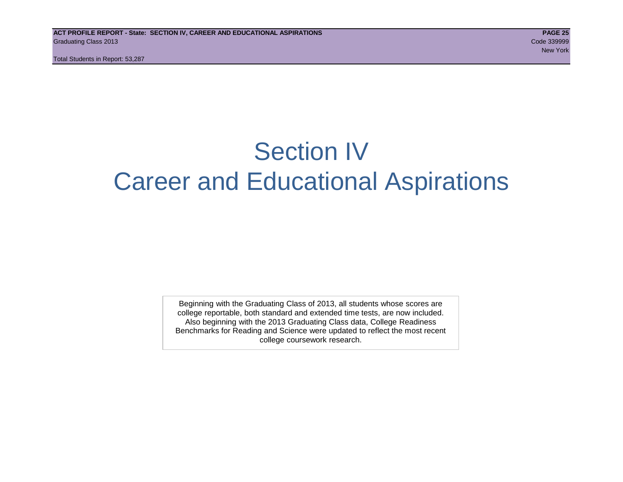# Section IV Career and Educational Aspirations

Beginning with the Graduating Class of 2013, all students whose scores are college reportable, both standard and extended time tests, are now included. Also beginning with the 2013 Graduating Class data, College Readiness Benchmarks for Reading and Science were updated to reflect the most recent college coursework research.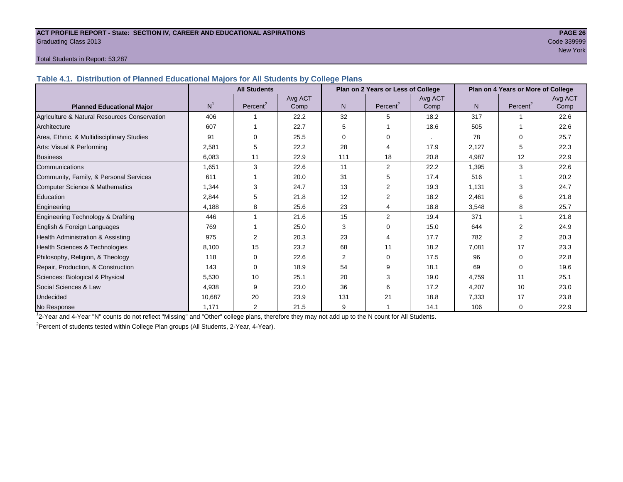#### **ACT PROFILE REPORT - State: SECTION IV, CAREER AND EDUCATIONAL ASPIRATIONS PAGE 26** Graduating Class 2013 Code 339999

# New York in the contract of the contract of the contract of the contract of the contract of the New York (1990)

#### Total Students in Report: 53,287

**Table 4.1. Distribution of Planned Educational Majors for All Students by College Plans**

|                                              | <b>All Students</b><br>Plan on 2 Years or Less of College |                      |         |                |                      |         | Plan on 4 Years or More of College |                      |         |  |
|----------------------------------------------|-----------------------------------------------------------|----------------------|---------|----------------|----------------------|---------|------------------------------------|----------------------|---------|--|
|                                              |                                                           |                      | Avg ACT |                |                      | Avg ACT |                                    |                      | Avg ACT |  |
| <b>Planned Educational Major</b>             | N <sup>1</sup>                                            | Percent <sup>2</sup> | Comp    | N              | Percent <sup>2</sup> | Comp    | N.                                 | Percent <sup>2</sup> | Comp    |  |
| Agriculture & Natural Resources Conservation | 406                                                       |                      | 22.2    | 32             | 5                    | 18.2    | 317                                |                      | 22.6    |  |
| Architecture                                 | 607                                                       |                      | 22.7    | 5              |                      | 18.6    | 505                                |                      | 22.6    |  |
| Area, Ethnic, & Multidisciplinary Studies    | 91                                                        | $\Omega$             | 25.5    | $\Omega$       | $\Omega$             |         | 78                                 | $\Omega$             | 25.7    |  |
| Arts: Visual & Performing                    | 2,581                                                     | 5                    | 22.2    | 28             | 4                    | 17.9    | 2,127                              | 5                    | 22.3    |  |
| <b>Business</b>                              | 6,083                                                     | 11                   | 22.9    | 111            | 18                   | 20.8    | 4,987                              | 12                   | 22.9    |  |
| Communications                               | 1,651                                                     | 3                    | 22.6    | 11             | 2                    | 22.2    | 1,395                              | 3                    | 22.6    |  |
| Community, Family, & Personal Services       | 611                                                       |                      | 20.0    | 31             | 5                    | 17.4    | 516                                |                      | 20.2    |  |
| <b>Computer Science &amp; Mathematics</b>    | 1,344                                                     | 3                    | 24.7    | 13             |                      | 19.3    | 1,131                              | 3                    | 24.7    |  |
| Education                                    | 2,844                                                     | 5                    | 21.8    | 12             | 2                    | 18.2    | 2,461                              | 6                    | 21.8    |  |
| Engineering                                  | 4,188                                                     | 8                    | 25.6    | 23             | 4                    | 18.8    | 3,548                              | 8                    | 25.7    |  |
| Engineering Technology & Drafting            | 446                                                       |                      | 21.6    | 15             | 2                    | 19.4    | 371                                |                      | 21.8    |  |
| English & Foreign Languages                  | 769                                                       |                      | 25.0    | 3              | $\Omega$             | 15.0    | 644                                | $\mathfrak{p}$       | 24.9    |  |
| Health Administration & Assisting            | 975                                                       | 2                    | 20.3    | 23             | Δ                    | 17.7    | 782                                | 2                    | 20.3    |  |
| Health Sciences & Technologies               | 8,100                                                     | 15                   | 23.2    | 68             | 11                   | 18.2    | 7,081                              | 17                   | 23.3    |  |
| Philosophy, Religion, & Theology             | 118                                                       | 0                    | 22.6    | $\overline{2}$ | 0                    | 17.5    | 96                                 | $\mathbf 0$          | 22.8    |  |
| Repair, Production, & Construction           | 143                                                       | $\Omega$             | 18.9    | 54             | 9                    | 18.1    | 69                                 | $\Omega$             | 19.6    |  |
| Sciences: Biological & Physical              | 5,530                                                     | 10                   | 25.1    | 20             | 3                    | 19.0    | 4,759                              | 11                   | 25.1    |  |
| Social Sciences & Law                        | 4,938                                                     | 9                    | 23.0    | 36             | 6                    | 17.2    | 4,207                              | 10                   | 23.0    |  |
| Undecided                                    | 10,687                                                    | 20                   | 23.9    | 131            | 21                   | 18.8    | 7,333                              | 17                   | 23.8    |  |
| No Response                                  | 1,171                                                     | $\overline{2}$       | 21.5    | 9              |                      | 14.1    | 106                                | $\mathbf 0$          | 22.9    |  |

1 2-Year and 4-Year "N" counts do not reflect "Missing" and "Other" college plans, therefore they may not add up to the N count for All Students.

<sup>2</sup> Percent of students tested within College Plan groups (All Students, 2-Year, 4-Year).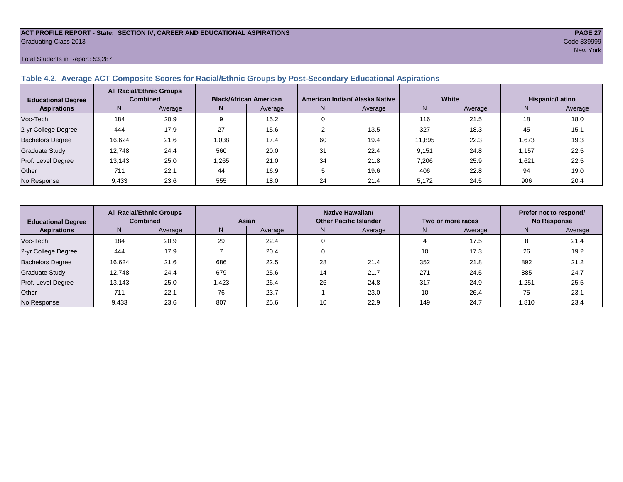#### **ACT PROFILE REPORT - State: SECTION IV, CAREER AND EDUCATIONAL ASPIRATIONS PAGE 27** Graduating Class 2013 Code 339999

#### Total Students in Report: 53,287

#### **Table 4.2. Average ACT Composite Scores for Racial/Ethnic Groups by Post-Secondary Educational Aspirations**

| <b>Educational Degree</b> |        | <b>All Racial/Ethnic Groups</b><br><b>Combined</b> | <b>Black/African American</b> |         |    | American Indian/ Alaska Native |        | White   | Hispanic/Latino |         |  |
|---------------------------|--------|----------------------------------------------------|-------------------------------|---------|----|--------------------------------|--------|---------|-----------------|---------|--|
| <b>Aspirations</b>        | N      | Average                                            | N.                            | Average | N. | Average                        | N      | Average | N               | Average |  |
| Voc-Tech                  | 184    | 20.9                                               | 9                             | 15.2    |    |                                | 116    | 21.5    | 18              | 18.0    |  |
| 2-yr College Degree       | 444    | 17.9                                               | 27                            | 15.6    |    | 13.5                           | 327    | 18.3    | 45              | 15.1    |  |
| <b>Bachelors Degree</b>   | 16.624 | 21.6                                               | 1,038                         | 17.4    | 60 | 19.4                           | 11,895 | 22.3    | 1,673           | 19.3    |  |
| Graduate Study            | 12.748 | 24.4                                               | 560                           | 20.0    | 31 | 22.4                           | 9,151  | 24.8    | .157            | 22.5    |  |
| Prof. Level Degree        | 13,143 | 25.0                                               | .265                          | 21.0    | 34 | 21.8                           | 7,206  | 25.9    | 1,621           | 22.5    |  |
| Other                     | 711    | 22.1                                               | 44                            | 16.9    |    | 19.6                           | 406    | 22.8    | 94              | 19.0    |  |
| No Response               | 9,433  | 23.6                                               | 555                           | 18.0    | 24 | 21.4                           | 5,172  | 24.5    | 906             | 20.4    |  |

| <b>Educational Degree</b> | <b>All Racial/Ethnic Groups</b><br><b>Combined</b> |         | Asian |         | Native Hawaiian/<br><b>Other Pacific Islander</b> |         | Two or more races |         | Prefer not to respond/<br><b>No Response</b> |         |  |
|---------------------------|----------------------------------------------------|---------|-------|---------|---------------------------------------------------|---------|-------------------|---------|----------------------------------------------|---------|--|
| <b>Aspirations</b>        | N <sub>1</sub>                                     | Average | N.    | Average | N.                                                | Average | N                 | Average | N                                            | Average |  |
| Voc-Tech                  | 184                                                | 20.9    | 29    | 22.4    |                                                   |         |                   | 17.5    | o                                            | 21.4    |  |
| 2-yr College Degree       | 444                                                | 17.9    |       | 20.4    |                                                   |         | 10                | 17.3    | 26                                           | 19.2    |  |
| <b>Bachelors Degree</b>   | 16,624                                             | 21.6    | 686   | 22.5    | 28                                                | 21.4    | 352               | 21.8    | 892                                          | 21.2    |  |
| <b>Graduate Study</b>     | 12,748                                             | 24.4    | 679   | 25.6    | 14                                                | 21.7    | 271               | 24.5    | 885                                          | 24.7    |  |
| Prof. Level Degree        | 13,143                                             | 25.0    | 1.423 | 26.4    | 26                                                | 24.8    | 317               | 24.9    | 1,251                                        | 25.5    |  |
| Other                     | 711                                                | 22.1    | 76    | 23.7    |                                                   | 23.0    | 10                | 26.4    | 75                                           | 23.1    |  |
| No Response               | 9,433                                              | 23.6    | 807   | 25.6    | 10                                                | 22.9    | 149               | 24.7    | 1,810                                        | 23.4    |  |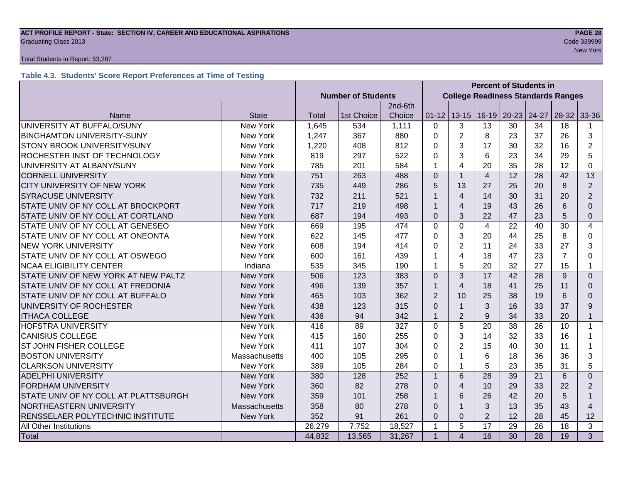## **ACT PROFILE REPORT - State: SECTION IV, CAREER AND EDUCATIONAL ASPIRATIONS PAGE 28** Graduating Class 2013 Code 339999

#### Total Students in Report: 53,287

#### **Table 4.3. Students' Score Report Preferences at Time of Testing**

|                                      |                      | <b>Percent of Students in</b> |                                           |         |                |                |                |               |                 |                |                |
|--------------------------------------|----------------------|-------------------------------|-------------------------------------------|---------|----------------|----------------|----------------|---------------|-----------------|----------------|----------------|
|                                      |                      | <b>Number of Students</b>     | <b>College Readiness Standards Ranges</b> |         |                |                |                |               |                 |                |                |
|                                      |                      |                               |                                           | 2nd-6th |                |                |                |               |                 |                |                |
| Name                                 | <b>State</b>         | <b>Total</b>                  | 1st Choice                                | Choice  | $01 - 12$      | $13 - 15$      |                | $16-19$ 20-23 | 24-27           | $28-32$        | 33-36          |
| UNIVERSITY AT BUFFALO/SUNY           | New York             | 1,645                         | 534                                       | 1,111   | $\Omega$       | 3              | 13             | 30            | 34              | 18             |                |
| <b>BINGHAMTON UNIVERSITY-SUNY</b>    | <b>New York</b>      | 1,247                         | 367                                       | 880     | $\Omega$       | 2              | 8              | 23            | 37              | 26             | 3              |
| STONY BROOK UNIVERSITY/SUNY          | New York             | 1,220                         | 408                                       | 812     | 0              | 3              | 17             | 30            | 32              | 16             | $\overline{2}$ |
| ROCHESTER INST OF TECHNOLOGY         | <b>New York</b>      | 819                           | 297                                       | 522     | $\Omega$       | 3              | 6              | 23            | 34              | 29             | 5              |
| UNIVERSITY AT ALBANY/SUNY            | <b>New York</b>      | 785                           | 201                                       | 584     | 1              | 4              | 20             | 35            | 28              | 12             | 0              |
| <b>CORNELL UNIVERSITY</b>            | New York             | 751                           | 263                                       | 488     | $\overline{0}$ | $\mathbf{1}$   | $\overline{4}$ | 12            | 28              | 42             | 13             |
| CITY UNIVERSITY OF NEW YORK          | <b>New York</b>      | 735                           | 449                                       | 286     | 5              | 13             | 27             | 25            | 20              | 8              | $\overline{2}$ |
| <b>SYRACUSE UNIVERSITY</b>           | New York             | 732                           | 211                                       | 521     | $\mathbf{1}$   | $\overline{4}$ | 14             | 30            | 31              | 20             | $\overline{2}$ |
| STATE UNIV OF NY COLL AT BROCKPORT   | <b>New York</b>      | 717                           | 219                                       | 498     | $\mathbf{1}$   | $\overline{4}$ | 19             | 43            | 26              | 6              | $\Omega$       |
| STATE UNIV OF NY COLL AT CORTLAND    | <b>New York</b>      | 687                           | 194                                       | 493     | $\Omega$       | 3              | 22             | 47            | 23              | 5              | 0              |
| STATE UNIV OF NY COLL AT GENESEO     | <b>New York</b>      | 669                           | 195                                       | 474     | $\overline{0}$ | $\mathbf 0$    | $\overline{4}$ | 22            | 40              | 30             | 4              |
| STATE UNIV OF NY COLL AT ONEONTA     | New York             | 622                           | 145                                       | 477     | 0              | 3              | 20             | 44            | 25              | 8              | 0              |
| <b>NEW YORK UNIVERSITY</b>           | <b>New York</b>      | 608                           | 194                                       | 414     | $\Omega$       | $\overline{2}$ | 11             | 24            | 33              | 27             | 3              |
| STATE UNIV OF NY COLL AT OSWEGO      | <b>New York</b>      | 600                           | 161                                       | 439     | 1              | $\overline{4}$ | 18             | 47            | 23              | $\overline{7}$ | $\Omega$       |
| <b>NCAA ELIGIBILITY CENTER</b>       | Indiana              | 535                           | 345                                       | 190     | 1              | 5              | 20             | 32            | 27              | 15             | $\mathbf{1}$   |
| STATE UNIV OF NEW YORK AT NEW PALTZ  | <b>New York</b>      | 506                           | 123                                       | 383     | $\Omega$       | 3              | 17             | 42            | 28              | 9              | $\Omega$       |
| STATE UNIV OF NY COLL AT FREDONIA    | New York             | 496                           | 139                                       | 357     | $\mathbf{1}$   | $\overline{4}$ | 18             | 41            | 25              | 11             | $\Omega$       |
| STATE UNIV OF NY COLL AT BUFFALO     | <b>New York</b>      | 465                           | 103                                       | 362     | $\overline{2}$ | 10             | 25             | 38            | 19              | 6              | $\Omega$       |
| UNIVERSITY OF ROCHESTER              | <b>New York</b>      | 438                           | 123                                       | 315     | $\Omega$       | $\mathbf{1}$   | 3              | 16            | 33              | 37             | 9              |
| <b>ITHACA COLLEGE</b>                | <b>New York</b>      | 436                           | 94                                        | 342     | $\mathbf{1}$   | $\overline{2}$ | 9              | 34            | 33              | 20             | $\mathbf{1}$   |
| <b>HOFSTRA UNIVERSITY</b>            | <b>New York</b>      | 416                           | 89                                        | 327     | $\mathbf 0$    | 5              | 20             | 38            | 26              | 10             | $\mathbf{1}$   |
| <b>CANISIUS COLLEGE</b>              | New York             | 415                           | 160                                       | 255     | $\mathbf 0$    | 3              | 14             | 32            | 33              | 16             |                |
| ST JOHN FISHER COLLEGE               | New York             | 411                           | 107                                       | 304     | $\mathbf 0$    | $\overline{2}$ | 15             | 40            | 30              | 11             | 1              |
| <b>BOSTON UNIVERSITY</b>             | Massachusetts        | 400                           | 105                                       | 295     | $\Omega$       | $\mathbf{1}$   | 6              | 18            | 36              | 36             | 3              |
| <b>CLARKSON UNIVERSITY</b>           | New York             | 389                           | 105                                       | 284     | $\Omega$       | $\mathbf{1}$   | 5              | 23            | 35              | 31             | 5              |
| <b>ADELPHI UNIVERSITY</b>            | <b>New York</b>      | 380                           | 128                                       | 252     | $\mathbf{1}$   | 6              | 28             | 39            | 21              | 6              | $\Omega$       |
| <b>FORDHAM UNIVERSITY</b>            | <b>New York</b>      | 360                           | 82                                        | 278     | $\Omega$       | $\overline{4}$ | 10             | 29            | 33              | 22             | $\overline{2}$ |
| STATE UNIV OF NY COLL AT PLATTSBURGH | <b>New York</b>      | 359                           | 101                                       | 258     | $\mathbf{1}$   | 6              | 26             | 42            | 20              | 5              | $\mathbf{1}$   |
| NORTHEASTERN UNIVERSITY              | <b>Massachusetts</b> | 358                           | 80                                        | 278     | $\Omega$       | $\mathbf{1}$   | 3              | 13            | 35              | 43             | 4              |
| RENSSELAER POLYTECHNIC INSTITUTE     | New York             | 352                           | 91                                        | 261     | $\Omega$       | $\mathbf 0$    | 2              | 12            | 28              | 45             | 12             |
| All Other Institutions               |                      | 26,279                        | 7,752                                     | 18,527  | $\mathbf{1}$   | 5              | 17             | 29            | 26              | 18             | 3              |
| <b>Total</b>                         |                      | 44,832                        | 13,565                                    | 31,267  | $\overline{1}$ | $\overline{4}$ | 16             | 30            | $\overline{28}$ | 19             | 3              |

New York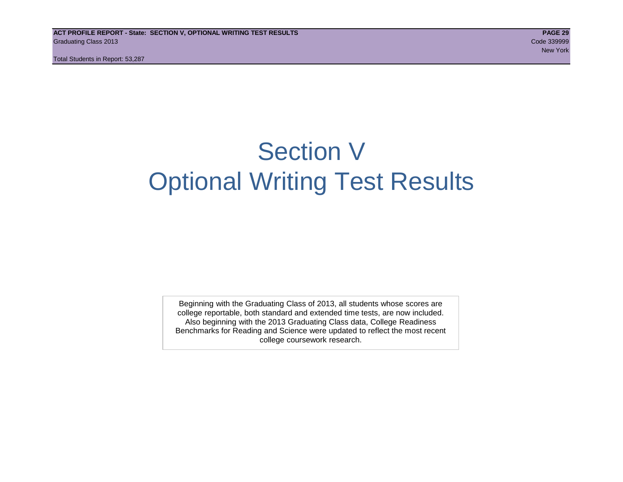# Section V Optional Writing Test Results

Beginning with the Graduating Class of 2013, all students whose scores are college reportable, both standard and extended time tests, are now included. Also beginning with the 2013 Graduating Class data, College Readiness Benchmarks for Reading and Science were updated to reflect the most recent college coursework research.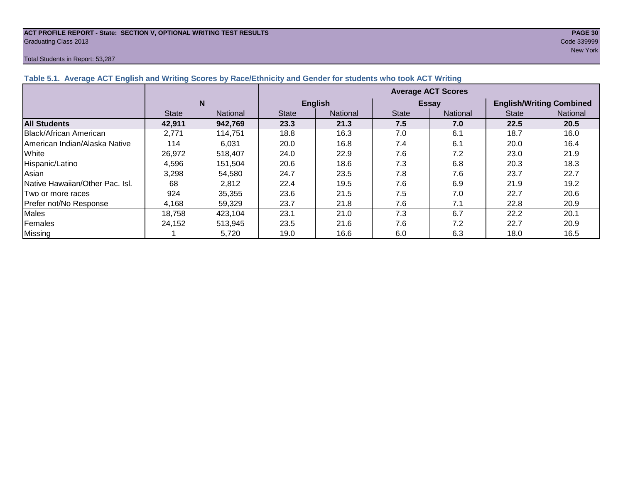#### **ACT PROFILE REPORT - State: SECTION V, OPTIONAL WRITING TEST RESULTS PAGE 30** Graduating Class 2013 Code 339999

#### Total Students in Report: 53,287

new York and the state of the state of the state of the state of the state of the state of the New York and the

| <b>TWIN'S THE AVOIDAGE TO LETTER IN A BUILDING OVERFOLD BY TWOGLETHINGS WHO OCHOOL TO DIMOGLIC WHO ROOK AND THERING</b> |              |                 |                           |                |              |                 |                                 |          |  |  |  |
|-------------------------------------------------------------------------------------------------------------------------|--------------|-----------------|---------------------------|----------------|--------------|-----------------|---------------------------------|----------|--|--|--|
|                                                                                                                         |              |                 | <b>Average ACT Scores</b> |                |              |                 |                                 |          |  |  |  |
|                                                                                                                         | N            |                 |                           | <b>English</b> |              | <b>Essay</b>    | <b>English/Writing Combined</b> |          |  |  |  |
|                                                                                                                         | <b>State</b> | <b>National</b> | <b>State</b>              | National       | <b>State</b> | <b>National</b> | <b>State</b>                    | National |  |  |  |
| <b>All Students</b>                                                                                                     | 42,911       | 942,769         | 23.3                      | 21.3           | 7.5          | 7.0             | 22.5                            | 20.5     |  |  |  |
| Black/African American                                                                                                  | 2.771        | 114,751         | 18.8                      | 16.3           | 7.0          | 6.1             | 18.7                            | 16.0     |  |  |  |
| <b>American Indian/Alaska Native</b>                                                                                    | 114          | 6.031           | 20.0                      | 16.8           | 7.4          | 6.1             | 20.0                            | 16.4     |  |  |  |
| White                                                                                                                   | 26,972       | 518.407         | 24.0                      | 22.9           | 7.6          | 7.2             | 23.0                            | 21.9     |  |  |  |
| Hispanic/Latino                                                                                                         | 4,596        | 151,504         | 20.6                      | 18.6           | 7.3          | 6.8             | 20.3                            | 18.3     |  |  |  |
| Asian                                                                                                                   | 3,298        | 54,580          | 24.7                      | 23.5           | 7.8          | 7.6             | 23.7                            | 22.7     |  |  |  |
| Native Hawaiian/Other Pac. Isl.                                                                                         | 68           | 2,812           | 22.4                      | 19.5           | 7.6          | 6.9             | 21.9                            | 19.2     |  |  |  |
| Two or more races                                                                                                       | 924          | 35,355          | 23.6                      | 21.5           | 7.5          | 7.0             | 22.7                            | 20.6     |  |  |  |
| Prefer not/No Response                                                                                                  | 4,168        | 59,329          | 23.7                      | 21.8           | 7.6          | 7.1             | 22.8                            | 20.9     |  |  |  |
| <b>Males</b>                                                                                                            | 18,758       | 423,104         | 23.1                      | 21.0           | 7.3          | 6.7             | 22.2                            | 20.1     |  |  |  |
| Females                                                                                                                 | 24,152       | 513,945         | 23.5                      | 21.6           | 7.6          | 7.2             | 22.7                            | 20.9     |  |  |  |
| Missing                                                                                                                 |              | 5,720           | 19.0                      | 16.6           | 6.0          | 6.3             | 18.0                            | 16.5     |  |  |  |

#### **Table 5.1. Average ACT English and Writing Scores by Race/Ethnicity and Gender for students who took ACT Writing**